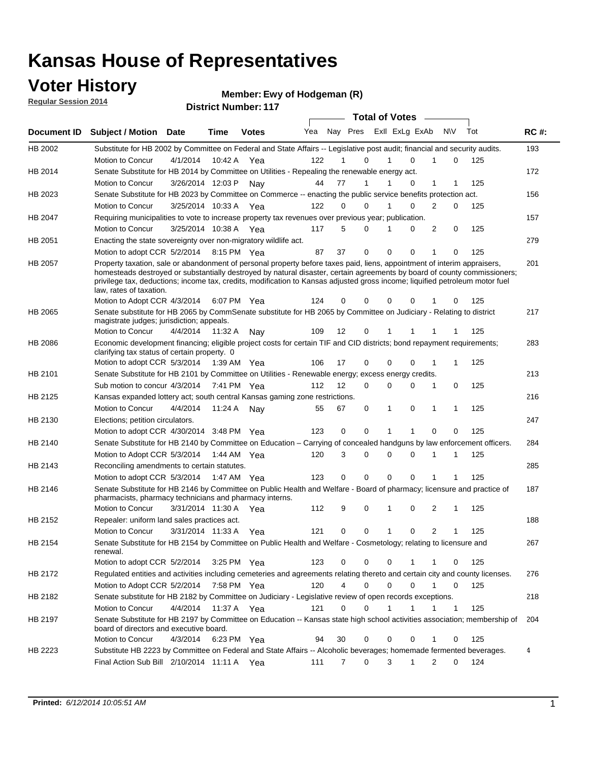### **Voter History**

**Regular Session 2014**

| <b>District Number: 117</b> |  |
|-----------------------------|--|
|                             |  |

|                |                                                                                                                                                                                                                                                                                                                                                                                                                  |                       |             |              |     |                |             |              | <b>Total of Votes</b>   |                |          |     |             |
|----------------|------------------------------------------------------------------------------------------------------------------------------------------------------------------------------------------------------------------------------------------------------------------------------------------------------------------------------------------------------------------------------------------------------------------|-----------------------|-------------|--------------|-----|----------------|-------------|--------------|-------------------------|----------------|----------|-----|-------------|
| Document ID    | <b>Subject / Motion Date</b>                                                                                                                                                                                                                                                                                                                                                                                     |                       | Time        | <b>Votes</b> | Yea |                |             |              | Nay Pres Exll ExLg ExAb |                | N\V      | Tot | <b>RC#:</b> |
| HB 2002        | Substitute for HB 2002 by Committee on Federal and State Affairs -- Legislative post audit; financial and security audits.                                                                                                                                                                                                                                                                                       |                       |             |              |     |                |             |              |                         |                |          |     | 193         |
|                | Motion to Concur                                                                                                                                                                                                                                                                                                                                                                                                 | 4/1/2014              | 10:42 A     | Yea          | 122 | 1              | 0           | 1            | $\Omega$                | 1              | $\Omega$ | 125 |             |
| HB 2014        | Senate Substitute for HB 2014 by Committee on Utilities - Repealing the renewable energy act.                                                                                                                                                                                                                                                                                                                    |                       |             |              |     |                |             |              |                         |                |          |     | 172         |
|                | Motion to Concur                                                                                                                                                                                                                                                                                                                                                                                                 | 3/26/2014 12:03 P     |             | Nay          | 44  | 77             | 1           | 1            | 0                       | 1              | 1        | 125 |             |
| HB 2023        | Senate Substitute for HB 2023 by Committee on Commerce -- enacting the public service benefits protection act.                                                                                                                                                                                                                                                                                                   |                       |             |              |     |                |             |              |                         |                |          |     | 156         |
|                | Motion to Concur                                                                                                                                                                                                                                                                                                                                                                                                 | 3/25/2014 10:33 A     |             | Yea          | 122 | 0              | $\Omega$    | 1            | 0                       | 2              | 0        | 125 |             |
| HB 2047        | Requiring municipalities to vote to increase property tax revenues over previous year; publication.                                                                                                                                                                                                                                                                                                              |                       |             |              |     |                |             |              |                         |                |          |     | 157         |
|                | Motion to Concur                                                                                                                                                                                                                                                                                                                                                                                                 | 3/25/2014 10:38 A     |             | Yea          | 117 | 5              | $\Omega$    | 1            | 0                       | 2              | 0        | 125 |             |
| HB 2051        | Enacting the state sovereignty over non-migratory wildlife act.                                                                                                                                                                                                                                                                                                                                                  |                       |             |              |     |                |             |              |                         |                |          |     | 279         |
|                | Motion to adopt CCR 5/2/2014 8:15 PM Yea                                                                                                                                                                                                                                                                                                                                                                         |                       |             |              | 87  | 37             | $\mathbf 0$ | $\mathbf 0$  | 0                       | 1              | 0        | 125 |             |
| HB 2057        | Property taxation, sale or abandonment of personal property before taxes paid, liens, appointment of interim appraisers,<br>homesteads destroyed or substantially destroyed by natural disaster, certain agreements by board of county commissioners;<br>privilege tax, deductions; income tax, credits, modification to Kansas adjusted gross income; liquified petroleum motor fuel<br>law, rates of taxation. |                       |             |              |     |                |             |              | 0                       |                |          |     | 201         |
|                | Motion to Adopt CCR 4/3/2014                                                                                                                                                                                                                                                                                                                                                                                     |                       |             | 6:07 PM Yea  | 124 | 0              | $\Omega$    | 0            |                         |                | 0        | 125 |             |
| HB 2065        | Senate substitute for HB 2065 by CommSenate substitute for HB 2065 by Committee on Judiciary - Relating to district<br>magistrate judges; jurisdiction; appeals.                                                                                                                                                                                                                                                 |                       |             |              |     |                |             |              |                         |                |          |     | 217         |
|                | Motion to Concur                                                                                                                                                                                                                                                                                                                                                                                                 | 4/4/2014              | 11:32 A     | Nav          | 109 | 12             | 0           | 1            |                         | 1              | 1        | 125 |             |
| <b>HB 2086</b> | Economic development financing; eligible project costs for certain TIF and CID districts; bond repayment requirements;<br>clarifying tax status of certain property. 0                                                                                                                                                                                                                                           |                       |             |              |     |                |             |              |                         |                |          |     | 283         |
|                | Motion to adopt CCR 5/3/2014 1:39 AM Yea                                                                                                                                                                                                                                                                                                                                                                         |                       |             |              | 106 | 17             | $\mathbf 0$ | $\mathbf 0$  | 0                       | 1              | 1        | 125 |             |
| HB 2101        | Senate Substitute for HB 2101 by Committee on Utilities - Renewable energy; excess energy credits.                                                                                                                                                                                                                                                                                                               |                       |             |              |     |                |             |              |                         |                |          |     | 213         |
|                | Sub motion to concur 4/3/2014 7:41 PM Yea                                                                                                                                                                                                                                                                                                                                                                        |                       |             |              | 112 | 12             | $\Omega$    | 0            | 0                       | 1              | 0        | 125 |             |
| HB 2125        | Kansas expanded lottery act; south central Kansas gaming zone restrictions.                                                                                                                                                                                                                                                                                                                                      |                       |             |              |     |                |             |              |                         |                |          |     | 216         |
|                | Motion to Concur                                                                                                                                                                                                                                                                                                                                                                                                 | 4/4/2014              | 11:24 A     | Nav          | 55  | 67             | 0           | 1            | 0                       | 1              | 1        | 125 |             |
| HB 2130        | Elections; petition circulators.                                                                                                                                                                                                                                                                                                                                                                                 |                       |             |              |     |                |             |              |                         |                |          |     | 247         |
|                | Motion to adopt CCR 4/30/2014 3:48 PM Yea                                                                                                                                                                                                                                                                                                                                                                        |                       |             |              | 123 | 0              | $\mathbf 0$ | 1            | 1                       | $\Omega$       | 0        | 125 |             |
| HB 2140        | Senate Substitute for HB 2140 by Committee on Education – Carrying of concealed handguns by law enforcement officers.                                                                                                                                                                                                                                                                                            |                       |             |              |     |                |             |              |                         |                |          |     | 284         |
|                | Motion to Adopt CCR 5/3/2014 1:44 AM Yea                                                                                                                                                                                                                                                                                                                                                                         |                       |             |              | 120 | 3              | 0           | $\Omega$     | $\Omega$                | 1              | 1        | 125 |             |
| HB 2143        | Reconciling amendments to certain statutes.                                                                                                                                                                                                                                                                                                                                                                      |                       |             |              |     |                |             |              |                         |                |          |     | 285         |
|                | Motion to adopt CCR 5/3/2014 1:47 AM Yea                                                                                                                                                                                                                                                                                                                                                                         |                       |             |              | 123 | 0              | $\mathbf 0$ | $\mathbf 0$  | $\Omega$                | 1              | 1        | 125 |             |
| HB 2146        | Senate Substitute for HB 2146 by Committee on Public Health and Welfare - Board of pharmacy; licensure and practice of                                                                                                                                                                                                                                                                                           |                       |             |              |     |                |             |              |                         |                |          |     | 187         |
|                | pharmacists, pharmacy technicians and pharmacy interns.                                                                                                                                                                                                                                                                                                                                                          |                       |             |              |     |                |             |              |                         |                |          |     |             |
|                | Motion to Concur                                                                                                                                                                                                                                                                                                                                                                                                 | 3/31/2014 11:30 A Yea |             |              | 112 | 9              | 0           | 1            | 0                       | 2              | 1        | 125 |             |
| HB 2152        | Repealer: uniform land sales practices act.                                                                                                                                                                                                                                                                                                                                                                      |                       |             |              |     |                |             |              |                         |                |          |     | 188         |
|                | Motion to Concur                                                                                                                                                                                                                                                                                                                                                                                                 | 3/31/2014 11:33 A     |             | Yea          | 121 | 0              | 0           | $\mathbf{1}$ | 0                       | $\overline{2}$ | 1        | 125 |             |
| HB 2154        | Senate Substitute for HB 2154 by Committee on Public Health and Welfare - Cosmetology; relating to licensure and<br>renewal.                                                                                                                                                                                                                                                                                     |                       |             |              |     |                |             |              |                         |                |          |     | 267         |
|                | Motion to adopt CCR 5/2/2014                                                                                                                                                                                                                                                                                                                                                                                     |                       |             | 3:25 PM Yea  | 123 | 0              | 0           | 0            |                         | 1              | 0        | 125 |             |
| HB 2172        | Requlated entities and activities including cemeteries and agreements relating thereto and certain city and county licenses.                                                                                                                                                                                                                                                                                     |                       |             |              |     |                |             |              |                         |                |          |     | 276         |
|                | Motion to Adopt CCR 5/2/2014                                                                                                                                                                                                                                                                                                                                                                                     |                       | 7:58 PM Yea |              | 120 | $\overline{4}$ | $\mathbf 0$ | $\mathbf 0$  | $\mathbf 0$             | $\mathbf{1}$   | 0        | 125 |             |
| HB 2182        | Senate substitute for HB 2182 by Committee on Judiciary - Legislative review of open records exceptions.                                                                                                                                                                                                                                                                                                         |                       |             |              |     |                |             |              |                         |                |          |     | 218         |
|                | Motion to Concur                                                                                                                                                                                                                                                                                                                                                                                                 | 4/4/2014 11:37 A Yea  |             |              | 121 | 0              | $\mathbf 0$ | 1            | 1                       |                | 1        | 125 |             |
| HB 2197        | Senate Substitute for HB 2197 by Committee on Education -- Kansas state high school activities association; membership of<br>board of directors and executive board.                                                                                                                                                                                                                                             |                       |             |              |     |                |             |              |                         |                |          |     | 204         |
|                | Motion to Concur                                                                                                                                                                                                                                                                                                                                                                                                 | 4/3/2014              |             | 6:23 PM Yea  | 94  | 30             | $\mathbf 0$ | 0            | 0                       | 1              | 0        | 125 |             |
| HB 2223        | Substitute HB 2223 by Committee on Federal and State Affairs -- Alcoholic beverages; homemade fermented beverages.                                                                                                                                                                                                                                                                                               |                       |             |              |     |                |             |              |                         |                |          |     | 4           |
|                | Final Action Sub Bill 2/10/2014 11:11 A Yea                                                                                                                                                                                                                                                                                                                                                                      |                       |             |              | 111 | 7              | 0           | 3            | 1                       | $\overline{2}$ | $\Omega$ | 124 |             |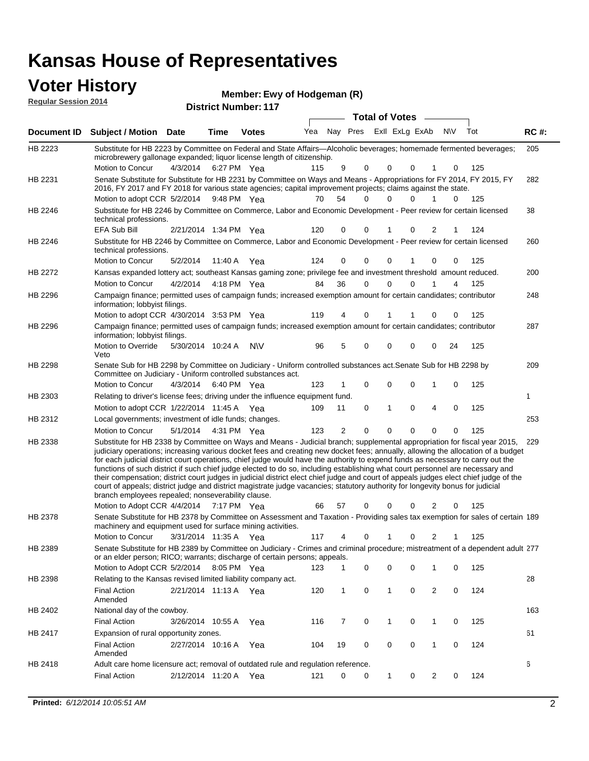### **Voter History**

**Regular Session 2014**

| noguiai ocoololi zvin |                                                                                                                                                                                                                                                                                                                                                                                                                                                                                                                                                                                                                                                                                                                                                                                                                                                                                                                 |                        |             | <b>District Number: 117</b> |     |                |                       |                |          |                |     |     |             |
|-----------------------|-----------------------------------------------------------------------------------------------------------------------------------------------------------------------------------------------------------------------------------------------------------------------------------------------------------------------------------------------------------------------------------------------------------------------------------------------------------------------------------------------------------------------------------------------------------------------------------------------------------------------------------------------------------------------------------------------------------------------------------------------------------------------------------------------------------------------------------------------------------------------------------------------------------------|------------------------|-------------|-----------------------------|-----|----------------|-----------------------|----------------|----------|----------------|-----|-----|-------------|
|                       |                                                                                                                                                                                                                                                                                                                                                                                                                                                                                                                                                                                                                                                                                                                                                                                                                                                                                                                 |                        |             |                             |     |                | <b>Total of Votes</b> |                |          |                |     |     |             |
| Document ID           | <b>Subject / Motion Date</b>                                                                                                                                                                                                                                                                                                                                                                                                                                                                                                                                                                                                                                                                                                                                                                                                                                                                                    |                        | <b>Time</b> | <b>Votes</b>                | Yea | Nay Pres       |                       | Exll ExLg ExAb |          |                | N\V | Tot | <b>RC#:</b> |
| HB 2223               | Substitute for HB 2223 by Committee on Federal and State Affairs—Alcoholic beverages; homemade fermented beverages;                                                                                                                                                                                                                                                                                                                                                                                                                                                                                                                                                                                                                                                                                                                                                                                             |                        |             |                             |     |                |                       |                |          |                |     |     | 205         |
|                       | microbrewery gallonage expanded; liquor license length of citizenship.                                                                                                                                                                                                                                                                                                                                                                                                                                                                                                                                                                                                                                                                                                                                                                                                                                          |                        |             |                             |     |                |                       |                |          |                |     |     |             |
|                       | Motion to Concur                                                                                                                                                                                                                                                                                                                                                                                                                                                                                                                                                                                                                                                                                                                                                                                                                                                                                                | 4/3/2014               |             | 6:27 PM Yea                 | 115 | 9              | 0                     | 0              | 0        |                | 0   | 125 |             |
| HB 2231               | Senate Substitute for Substitute for HB 2231 by Committee on Ways and Means - Appropriations for FY 2014, FY 2015, FY<br>2016, FY 2017 and FY 2018 for various state agencies; capital improvement projects; claims against the state.                                                                                                                                                                                                                                                                                                                                                                                                                                                                                                                                                                                                                                                                          |                        |             |                             |     |                |                       |                |          |                |     |     | 282         |
|                       | Motion to adopt CCR 5/2/2014                                                                                                                                                                                                                                                                                                                                                                                                                                                                                                                                                                                                                                                                                                                                                                                                                                                                                    |                        |             | 9:48 PM Yea                 | 70  | 54             | 0                     | $\Omega$       | 0        | 1              | 0   | 125 |             |
| HB 2246               | Substitute for HB 2246 by Committee on Commerce, Labor and Economic Development - Peer review for certain licensed<br>technical professions.                                                                                                                                                                                                                                                                                                                                                                                                                                                                                                                                                                                                                                                                                                                                                                    |                        |             |                             |     |                |                       |                |          |                |     |     | 38          |
|                       | EFA Sub Bill                                                                                                                                                                                                                                                                                                                                                                                                                                                                                                                                                                                                                                                                                                                                                                                                                                                                                                    | 2/21/2014 1:34 PM Yea  |             |                             | 120 | 0              | 0                     | 1              | 0        | 2              | 1   | 124 |             |
| HB 2246               | Substitute for HB 2246 by Committee on Commerce, Labor and Economic Development - Peer review for certain licensed<br>technical professions.                                                                                                                                                                                                                                                                                                                                                                                                                                                                                                                                                                                                                                                                                                                                                                    |                        |             |                             |     |                |                       |                |          |                |     |     | 260         |
|                       | Motion to Concur                                                                                                                                                                                                                                                                                                                                                                                                                                                                                                                                                                                                                                                                                                                                                                                                                                                                                                | 5/2/2014               |             | 11:40 A Yea                 | 124 | 0              | 0                     | 0              |          | 0              | 0   | 125 |             |
| HB 2272               | Kansas expanded lottery act; southeast Kansas gaming zone; privilege fee and investment threshold amount reduced.                                                                                                                                                                                                                                                                                                                                                                                                                                                                                                                                                                                                                                                                                                                                                                                               |                        |             |                             |     |                |                       |                |          |                |     |     | 200         |
|                       | <b>Motion to Concur</b>                                                                                                                                                                                                                                                                                                                                                                                                                                                                                                                                                                                                                                                                                                                                                                                                                                                                                         | 4/2/2014               |             | 4:18 PM Yea                 | 84  | 36             | 0                     | 0              | 0        |                | 4   | 125 |             |
| HB 2296               | Campaign finance; permitted uses of campaign funds; increased exemption amount for certain candidates; contributor<br>information; lobbyist filings.                                                                                                                                                                                                                                                                                                                                                                                                                                                                                                                                                                                                                                                                                                                                                            |                        |             |                             |     |                |                       |                |          |                |     |     | 248         |
|                       | Motion to adopt CCR 4/30/2014 3:53 PM Yea                                                                                                                                                                                                                                                                                                                                                                                                                                                                                                                                                                                                                                                                                                                                                                                                                                                                       |                        |             |                             | 119 | 4              | 0                     | 1              | 1        | 0              | 0   | 125 |             |
| HB 2296               | Campaign finance; permitted uses of campaign funds; increased exemption amount for certain candidates; contributor<br>information; lobbyist filings.                                                                                                                                                                                                                                                                                                                                                                                                                                                                                                                                                                                                                                                                                                                                                            |                        |             |                             |     |                |                       |                |          |                |     |     | 287         |
|                       | Motion to Override<br>Veto                                                                                                                                                                                                                                                                                                                                                                                                                                                                                                                                                                                                                                                                                                                                                                                                                                                                                      | 5/30/2014 10:24 A      |             | N\V                         | 96  | 5              | 0                     | 0              | 0        | 0              | 24  | 125 |             |
| HB 2298               | Senate Sub for HB 2298 by Committee on Judiciary - Uniform controlled substances act. Senate Sub for HB 2298 by<br>Committee on Judiciary - Uniform controlled substances act.                                                                                                                                                                                                                                                                                                                                                                                                                                                                                                                                                                                                                                                                                                                                  |                        |             |                             |     |                |                       |                |          |                |     |     | 209         |
|                       | Motion to Concur                                                                                                                                                                                                                                                                                                                                                                                                                                                                                                                                                                                                                                                                                                                                                                                                                                                                                                | 4/3/2014               |             | 6:40 PM Yea                 | 123 |                | $\mathbf 0$           | 0              | $\Omega$ | 1              | 0   | 125 |             |
| HB 2303               | Relating to driver's license fees; driving under the influence equipment fund.                                                                                                                                                                                                                                                                                                                                                                                                                                                                                                                                                                                                                                                                                                                                                                                                                                  |                        |             |                             |     |                |                       |                |          |                |     |     | 1           |
|                       | Motion to adopt CCR 1/22/2014 11:45 A Yea                                                                                                                                                                                                                                                                                                                                                                                                                                                                                                                                                                                                                                                                                                                                                                                                                                                                       |                        |             |                             | 109 | 11             | 0                     | 1              | $\Omega$ | 4              | 0   | 125 |             |
| HB 2312               | Local governments; investment of idle funds; changes.                                                                                                                                                                                                                                                                                                                                                                                                                                                                                                                                                                                                                                                                                                                                                                                                                                                           |                        |             |                             |     |                |                       |                |          |                |     |     | 253         |
|                       | Motion to Concur                                                                                                                                                                                                                                                                                                                                                                                                                                                                                                                                                                                                                                                                                                                                                                                                                                                                                                | 5/1/2014  4:31 PM  Yea |             |                             | 123 | $\overline{2}$ | $\Omega$              | $\mathbf{0}$   | $\Omega$ | $\Omega$       | 0   | 125 |             |
| HB 2338               | Substitute for HB 2338 by Committee on Ways and Means - Judicial branch; supplemental appropriation for fiscal year 2015,<br>judiciary operations; increasing various docket fees and creating new docket fees; annually, allowing the allocation of a budget<br>for each judicial district court operations, chief judge would have the authority to expend funds as necessary to carry out the<br>functions of such district if such chief judge elected to do so, including establishing what court personnel are necessary and<br>their compensation; district court judges in judicial district elect chief judge and court of appeals judges elect chief judge of the<br>court of appeals; district judge and district magistrate judge vacancies; statutory authority for longevity bonus for judicial<br>branch employees repealed; nonseverability clause.<br>Motion to Adopt CCR 4/4/2014 7:17 PM Yea |                        |             |                             | 66  | 57             | 0                     | 0              | 0        | 2              | 0   | 125 | 229         |
| HB 2378               | Senate Substitute for HB 2378 by Committee on Assessment and Taxation - Providing sales tax exemption for sales of certain 189                                                                                                                                                                                                                                                                                                                                                                                                                                                                                                                                                                                                                                                                                                                                                                                  |                        |             |                             |     |                |                       |                |          |                |     |     |             |
|                       | machinery and equipment used for surface mining activities.                                                                                                                                                                                                                                                                                                                                                                                                                                                                                                                                                                                                                                                                                                                                                                                                                                                     |                        |             |                             |     |                |                       |                |          |                |     |     |             |
| HB 2389               | Motion to Concur<br>Senate Substitute for HB 2389 by Committee on Judiciary - Crimes and criminal procedure; mistreatment of a dependent adult 277                                                                                                                                                                                                                                                                                                                                                                                                                                                                                                                                                                                                                                                                                                                                                              | 3/31/2014 11:35 A      |             | Yea                         | 117 | 4              | 0                     | 1              | 0        | 2              |     | 125 |             |
|                       | or an elder person; RICO; warrants; discharge of certain persons; appeals.                                                                                                                                                                                                                                                                                                                                                                                                                                                                                                                                                                                                                                                                                                                                                                                                                                      |                        |             |                             |     |                |                       |                |          |                |     |     |             |
|                       | Motion to Adopt CCR 5/2/2014 8:05 PM Yea                                                                                                                                                                                                                                                                                                                                                                                                                                                                                                                                                                                                                                                                                                                                                                                                                                                                        |                        |             |                             | 123 |                | 0                     | 0              | 0        | 1              | 0   | 125 |             |
| HB 2398               | Relating to the Kansas revised limited liability company act.                                                                                                                                                                                                                                                                                                                                                                                                                                                                                                                                                                                                                                                                                                                                                                                                                                                   |                        |             |                             |     |                |                       |                |          |                |     |     | 28          |
|                       | <b>Final Action</b><br>Amended                                                                                                                                                                                                                                                                                                                                                                                                                                                                                                                                                                                                                                                                                                                                                                                                                                                                                  | 2/21/2014 11:13 A Yea  |             |                             | 120 | 1              | 0                     | 1              | 0        | $\overline{c}$ | 0   | 124 |             |
| HB 2402               | National day of the cowboy.                                                                                                                                                                                                                                                                                                                                                                                                                                                                                                                                                                                                                                                                                                                                                                                                                                                                                     |                        |             |                             |     |                |                       |                |          |                |     |     | 163         |
|                       | <b>Final Action</b>                                                                                                                                                                                                                                                                                                                                                                                                                                                                                                                                                                                                                                                                                                                                                                                                                                                                                             | 3/26/2014 10:55 A      |             | Yea                         | 116 | 7              | 0                     | 1              | 0        | $\mathbf{1}$   | 0   | 125 |             |
| HB 2417               | Expansion of rural opportunity zones.                                                                                                                                                                                                                                                                                                                                                                                                                                                                                                                                                                                                                                                                                                                                                                                                                                                                           |                        |             |                             |     |                |                       |                |          |                |     |     | 61          |
|                       | <b>Final Action</b><br>Amended                                                                                                                                                                                                                                                                                                                                                                                                                                                                                                                                                                                                                                                                                                                                                                                                                                                                                  | 2/27/2014 10:16 A      |             | Yea                         | 104 | 19             | 0                     | 0              | 0        | $\mathbf{1}$   | 0   | 124 |             |
| HB 2418               | Adult care home licensure act; removal of outdated rule and regulation reference.                                                                                                                                                                                                                                                                                                                                                                                                                                                                                                                                                                                                                                                                                                                                                                                                                               |                        |             |                             |     |                |                       |                |          |                |     |     | 6           |
|                       | <b>Final Action</b>                                                                                                                                                                                                                                                                                                                                                                                                                                                                                                                                                                                                                                                                                                                                                                                                                                                                                             | 2/12/2014 11:20 A      |             | Yea                         | 121 | 0              | 0                     | 1              | 0        | 2              | 0   | 124 |             |
|                       |                                                                                                                                                                                                                                                                                                                                                                                                                                                                                                                                                                                                                                                                                                                                                                                                                                                                                                                 |                        |             |                             |     |                |                       |                |          |                |     |     |             |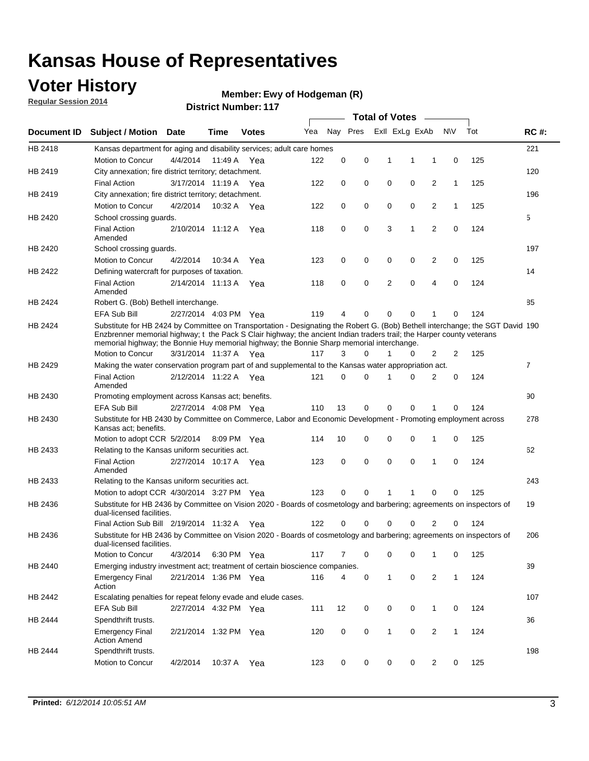### **Voter History**

**Regular Session 2014**

#### **Ewy of Hodgeman (R)**

|                    |                                                                                                                                                                                                                                                                                                                                                      |                       |             | <b>DISTRICT MAILIDEL.</b> 117 | <b>Total of Votes</b><br>$\sim$ |          |          |   |                |                |              |     |                |
|--------------------|------------------------------------------------------------------------------------------------------------------------------------------------------------------------------------------------------------------------------------------------------------------------------------------------------------------------------------------------------|-----------------------|-------------|-------------------------------|---------------------------------|----------|----------|---|----------------|----------------|--------------|-----|----------------|
| <b>Document ID</b> | <b>Subject / Motion</b>                                                                                                                                                                                                                                                                                                                              | Date                  | Time        | <b>Votes</b>                  | Yea                             |          | Nay Pres |   | Exll ExLg ExAb |                | <b>NV</b>    | Tot | <b>RC#:</b>    |
| HB 2418            | Kansas department for aging and disability services; adult care homes                                                                                                                                                                                                                                                                                |                       |             |                               |                                 |          |          |   |                |                |              |     | 221            |
|                    | Motion to Concur                                                                                                                                                                                                                                                                                                                                     | 4/4/2014              | 11:49 A     | Yea                           | 122                             | 0        | 0        | 1 | 1              | 1              | 0            | 125 |                |
| HB 2419            | City annexation; fire district territory; detachment.                                                                                                                                                                                                                                                                                                |                       |             |                               |                                 |          |          |   |                |                |              |     | 120            |
|                    | <b>Final Action</b>                                                                                                                                                                                                                                                                                                                                  | 3/17/2014 11:19 A Yea |             |                               | 122                             | 0        | 0        | 0 | 0              | 2              | $\mathbf{1}$ | 125 |                |
| HB 2419            | City annexation; fire district territory; detachment.                                                                                                                                                                                                                                                                                                |                       |             |                               |                                 |          |          |   |                |                |              |     | 196            |
|                    | Motion to Concur                                                                                                                                                                                                                                                                                                                                     | 4/2/2014              | 10:32 A Yea |                               | 122                             | 0        | 0        | 0 | 0              | 2              | $\mathbf{1}$ | 125 |                |
| HB 2420            | School crossing guards.                                                                                                                                                                                                                                                                                                                              |                       |             |                               |                                 |          |          |   |                |                |              |     | 5              |
|                    | <b>Final Action</b><br>Amended                                                                                                                                                                                                                                                                                                                       | 2/10/2014 11:12 A     |             | Yea                           | 118                             | 0        | 0        | 3 | 1              | $\overline{2}$ | 0            | 124 |                |
| HB 2420            | School crossing guards.                                                                                                                                                                                                                                                                                                                              |                       |             |                               |                                 |          |          |   |                |                |              |     | 197            |
|                    | Motion to Concur                                                                                                                                                                                                                                                                                                                                     | 4/2/2014              | 10:34 A     | Yea                           | 123                             | 0        | 0        | 0 | 0              | 2              | 0            | 125 |                |
| HB 2422            | Defining watercraft for purposes of taxation.                                                                                                                                                                                                                                                                                                        |                       |             |                               |                                 |          |          |   |                |                |              |     | 14             |
|                    | <b>Final Action</b><br>Amended                                                                                                                                                                                                                                                                                                                       | 2/14/2014 11:13 A     |             | Yea                           | 118                             | 0        | 0        | 2 | $\mathbf 0$    | 4              | 0            | 124 |                |
| HB 2424            | Robert G. (Bob) Bethell interchange.                                                                                                                                                                                                                                                                                                                 |                       |             |                               |                                 |          |          |   |                |                |              |     | 85             |
|                    | <b>EFA Sub Bill</b>                                                                                                                                                                                                                                                                                                                                  | 2/27/2014 4:03 PM Yea |             |                               | 119                             | 4        | 0        | 0 | $\mathbf 0$    | 1              | 0            | 124 |                |
| HB 2424            | Substitute for HB 2424 by Committee on Transportation - Designating the Robert G. (Bob) Bethell interchange; the SGT David 190<br>Enzbrenner memorial highway; t the Pack S Clair highway; the ancient Indian traders trail; the Harper county veterans<br>memorial highway; the Bonnie Huy memorial highway; the Bonnie Sharp memorial interchange. |                       |             |                               |                                 |          |          |   |                |                |              |     |                |
|                    | Motion to Concur                                                                                                                                                                                                                                                                                                                                     | 3/31/2014 11:37 A Yea |             |                               | 117                             | 3        | $\Omega$ | 1 | 0              | 2              | 2            | 125 |                |
| HB 2429            | Making the water conservation program part of and supplemental to the Kansas water appropriation act.                                                                                                                                                                                                                                                |                       |             |                               |                                 |          |          |   |                |                |              |     | $\overline{7}$ |
|                    | <b>Final Action</b><br>Amended                                                                                                                                                                                                                                                                                                                       | 2/12/2014 11:22 A Yea |             |                               | 121                             | $\Omega$ | 0        | 1 | $\Omega$       | 2              | 0            | 124 |                |
| HB 2430            | Promoting employment across Kansas act; benefits.                                                                                                                                                                                                                                                                                                    |                       |             |                               |                                 |          |          |   |                |                |              |     | 90             |
|                    | <b>EFA Sub Bill</b>                                                                                                                                                                                                                                                                                                                                  | 2/27/2014 4:08 PM Yea |             |                               | 110                             | 13       | 0        | 0 | 0              | 1              | 0            | 124 |                |
| HB 2430            | Substitute for HB 2430 by Committee on Commerce, Labor and Economic Development - Promoting employment across<br>Kansas act; benefits.                                                                                                                                                                                                               |                       |             |                               |                                 |          |          |   |                |                |              |     | 278            |
|                    | Motion to adopt CCR 5/2/2014                                                                                                                                                                                                                                                                                                                         |                       | 8:09 PM Yea |                               | 114                             | 10       | 0        | 0 | 0              | 1              | 0            | 125 |                |
| HB 2433            | Relating to the Kansas uniform securities act.                                                                                                                                                                                                                                                                                                       |                       |             |                               |                                 |          |          |   |                |                |              |     | 62             |
|                    | <b>Final Action</b><br>Amended                                                                                                                                                                                                                                                                                                                       | 2/27/2014 10:17 A Yea |             |                               | 123                             | 0        | 0        | 0 | $\mathbf 0$    | 1              | 0            | 124 |                |
| HB 2433            | Relating to the Kansas uniform securities act.                                                                                                                                                                                                                                                                                                       |                       |             |                               |                                 |          |          |   |                |                |              |     | 243            |
|                    | Motion to adopt CCR 4/30/2014 3:27 PM Yea                                                                                                                                                                                                                                                                                                            |                       |             |                               | 123                             | $\Omega$ | 0        | 1 | 1              | 0              | 0            | 125 |                |
| HB 2436            | Substitute for HB 2436 by Committee on Vision 2020 - Boards of cosmetology and barbering; agreements on inspectors of<br>dual-licensed facilities.                                                                                                                                                                                                   |                       |             |                               |                                 |          |          |   |                |                |              |     | 19             |
|                    | Final Action Sub Bill 2/19/2014 11:32 A                                                                                                                                                                                                                                                                                                              |                       |             | Yea                           | 122                             | 0        | 0        | 0 | 0              | 2              | 0            | 124 |                |
| HB 2436            | Substitute for HB 2436 by Committee on Vision 2020 - Boards of cosmetology and barbering; agreements on inspectors of<br>dual-licensed facilities.                                                                                                                                                                                                   |                       |             |                               |                                 |          |          |   |                |                |              |     | 206            |
|                    | Motion to Concur                                                                                                                                                                                                                                                                                                                                     | 4/3/2014              | 6:30 PM Yea |                               | 117                             | 7        | 0        | 0 | 0              | $\mathbf{1}$   | 0            | 125 |                |
| HB 2440            | Emerging industry investment act; treatment of certain bioscience companies.                                                                                                                                                                                                                                                                         |                       |             |                               |                                 |          |          |   |                |                |              |     | 39             |
|                    | <b>Emergency Final</b><br>Action                                                                                                                                                                                                                                                                                                                     | 2/21/2014 1:36 PM Yea |             |                               | 116                             | 4        | 0        | 1 | 0              | 2              | $\mathbf{1}$ | 124 |                |
| HB 2442            | Escalating penalties for repeat felony evade and elude cases.                                                                                                                                                                                                                                                                                        |                       |             |                               |                                 |          |          |   |                |                |              |     | 107            |
|                    | EFA Sub Bill                                                                                                                                                                                                                                                                                                                                         | 2/27/2014 4:32 PM Yea |             |                               | 111                             | 12       | 0        | 0 | 0              | $\mathbf{1}$   | 0            | 124 |                |
| HB 2444            | Spendthrift trusts.                                                                                                                                                                                                                                                                                                                                  |                       |             |                               |                                 |          |          |   |                |                |              |     | 36             |
|                    | <b>Emergency Final</b><br><b>Action Amend</b>                                                                                                                                                                                                                                                                                                        | 2/21/2014 1:32 PM Yea |             |                               | 120                             | 0        | 0        | 1 | 0              | $\overline{2}$ | $\mathbf{1}$ | 124 |                |
| HB 2444            | Spendthrift trusts.                                                                                                                                                                                                                                                                                                                                  |                       |             |                               |                                 |          |          |   |                |                |              |     | 198            |
|                    | Motion to Concur                                                                                                                                                                                                                                                                                                                                     | 4/2/2014              | 10:37 A Yea |                               | 123                             | 0        | 0        | 0 | 0              | $\overline{2}$ | 0            | 125 |                |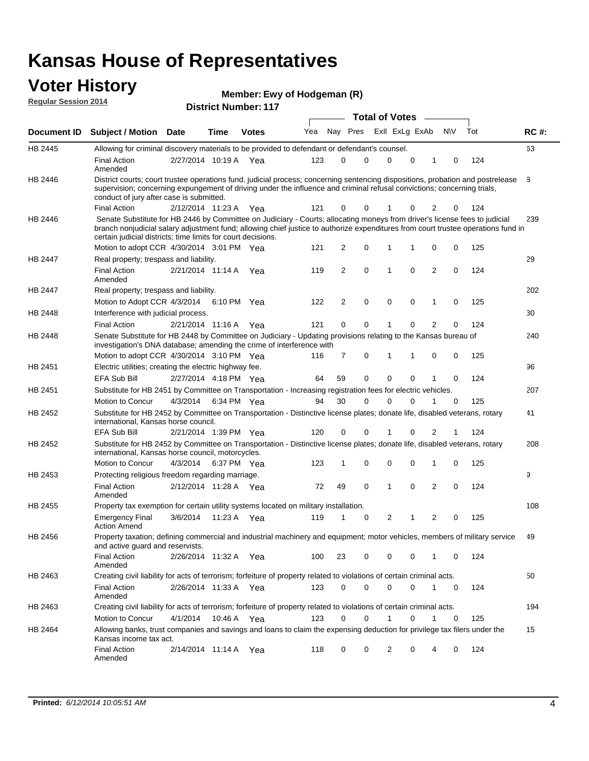#### **Voter History Regular Session 2014**

**Ewy of Hodgeman (R)**

|                    | <b>Total of Votes</b>                                                                                                                                                                                                                                                                                                           |                       |             |              |     |                |             |  |                |             |   |           |     |             |
|--------------------|---------------------------------------------------------------------------------------------------------------------------------------------------------------------------------------------------------------------------------------------------------------------------------------------------------------------------------|-----------------------|-------------|--------------|-----|----------------|-------------|--|----------------|-------------|---|-----------|-----|-------------|
| <b>Document ID</b> | <b>Subject / Motion Date</b>                                                                                                                                                                                                                                                                                                    |                       | Time        | <b>Votes</b> | Yea |                | Nay Pres    |  | Exll ExLg ExAb |             |   | <b>NV</b> | Tot | <b>RC#:</b> |
| HB 2445            | Allowing for criminal discovery materials to be provided to defendant or defendant's counsel.                                                                                                                                                                                                                                   |                       |             |              |     |                |             |  |                |             |   |           |     | 63          |
|                    | <b>Final Action</b><br>Amended                                                                                                                                                                                                                                                                                                  | 2/27/2014 10:19 A     |             | Yea          | 123 | $\mathbf 0$    | $\mathbf 0$ |  | 0              | $\mathbf 0$ | 1 | 0         | 124 |             |
| HB 2446            | District courts; court trustee operations fund. judicial process; concerning sentencing dispositions, probation and postrelease<br>supervision; concerning expungement of driving under the influence and criminal refusal convictions; concerning trials,<br>conduct of jury after case is submitted.                          |                       |             |              |     |                |             |  |                |             |   |           |     | 8           |
|                    | <b>Final Action</b>                                                                                                                                                                                                                                                                                                             | 2/12/2014 11:23 A     |             | Yea          | 121 | 0              | 0           |  | 1              | 0           | 2 | 0         | 124 |             |
| HB 2446            | Senate Substitute for HB 2446 by Committee on Judiciary - Courts; allocating moneys from driver's license fees to judicial<br>branch nonjudicial salary adjustment fund; allowing chief justice to authorize expenditures from court trustee operations fund in<br>certain judicial districts; time limits for court decisions. |                       |             |              |     |                |             |  |                |             |   |           |     | 239         |
|                    | Motion to adopt CCR 4/30/2014 3:01 PM Yea                                                                                                                                                                                                                                                                                       |                       |             |              | 121 | 2              | 0           |  | 1              |             | 0 | 0         | 125 |             |
| <b>HB 2447</b>     | Real property; trespass and liability.                                                                                                                                                                                                                                                                                          |                       |             |              |     |                |             |  |                |             |   |           |     | 29          |
|                    | <b>Final Action</b><br>Amended                                                                                                                                                                                                                                                                                                  | 2/21/2014 11:14 A     |             | Yea          | 119 | 2              | $\mathbf 0$ |  | 1              | 0           | 2 | 0         | 124 |             |
| HB 2447            | Real property; trespass and liability.                                                                                                                                                                                                                                                                                          |                       |             |              |     |                |             |  |                |             |   |           |     | 202         |
|                    | Motion to Adopt CCR 4/3/2014                                                                                                                                                                                                                                                                                                    |                       | 6:10 PM Yea |              | 122 | 2              | 0           |  | $\mathbf 0$    | 0           | 1 | 0         | 125 |             |
| HB 2448            | Interference with judicial process.                                                                                                                                                                                                                                                                                             |                       |             |              |     |                |             |  |                |             |   |           |     | 30          |
|                    | <b>Final Action</b>                                                                                                                                                                                                                                                                                                             | 2/21/2014 11:16 A     |             | Yea          | 121 | 0              | 0           |  | 1              | 0           | 2 | 0         | 124 |             |
| HB 2448            | Senate Substitute for HB 2448 by Committee on Judiciary - Updating provisions relating to the Kansas bureau of<br>investigation's DNA database; amending the crime of interference with                                                                                                                                         |                       |             |              |     |                |             |  |                |             |   |           |     | 240         |
|                    | Motion to adopt CCR 4/30/2014 3:10 PM Yea                                                                                                                                                                                                                                                                                       |                       |             |              | 116 | $\overline{7}$ | $\mathbf 0$ |  | 1              | 1           | 0 | 0         | 125 |             |
| HB 2451            | Electric utilities; creating the electric highway fee.                                                                                                                                                                                                                                                                          |                       |             |              |     |                |             |  |                |             |   |           |     | 96          |
|                    | <b>EFA Sub Bill</b>                                                                                                                                                                                                                                                                                                             | 2/27/2014 4:18 PM Yea |             |              | 64  | 59             | $\mathbf 0$ |  | 0              | 0           |   | 0         | 124 |             |
| HB 2451            | Substitute for HB 2451 by Committee on Transportation - Increasing registration fees for electric vehicles.                                                                                                                                                                                                                     |                       |             |              |     |                |             |  |                |             |   |           |     | 207         |
|                    | <b>Motion to Concur</b>                                                                                                                                                                                                                                                                                                         | 4/3/2014              | 6:34 PM Yea |              | 94  | 30             | 0           |  | 0              | 0           |   | 0         | 125 |             |
| HB 2452            | Substitute for HB 2452 by Committee on Transportation - Distinctive license plates; donate life, disabled veterans, rotary<br>international, Kansas horse council.                                                                                                                                                              |                       |             |              |     |                |             |  |                |             |   |           |     | 41          |
|                    | EFA Sub Bill                                                                                                                                                                                                                                                                                                                    | 2/21/2014 1:39 PM Yea |             |              | 120 | 0              | 0           |  | 1              | 0           | 2 |           | 124 |             |
| HB 2452            | Substitute for HB 2452 by Committee on Transportation - Distinctive license plates; donate life, disabled veterans, rotary<br>international, Kansas horse council, motorcycles.                                                                                                                                                 |                       |             |              |     |                |             |  |                |             |   |           |     | 208         |
|                    | Motion to Concur                                                                                                                                                                                                                                                                                                                | 4/3/2014              | 6:37 PM Yea |              | 123 | 1              | 0           |  | 0              | 0           | 1 | 0         | 125 |             |
| HB 2453            | Protecting religious freedom regarding marriage.                                                                                                                                                                                                                                                                                |                       |             |              |     |                |             |  |                |             |   |           |     | 9           |
|                    | <b>Final Action</b><br>Amended                                                                                                                                                                                                                                                                                                  | 2/12/2014 11:28 A Yea |             |              | 72  | 49             | 0           |  | 1              | 0           | 2 | 0         | 124 |             |
| <b>HB 2455</b>     | Property tax exemption for certain utility systems located on military installation.                                                                                                                                                                                                                                            |                       |             |              |     |                |             |  |                |             |   |           |     | 108         |
|                    | <b>Emergency Final</b><br><b>Action Amend</b>                                                                                                                                                                                                                                                                                   | 3/6/2014              | 11:23 A Yea |              | 119 | 1              | $\mathbf 0$ |  | 2              | 1           | 2 | 0         | 125 |             |
| HB 2456            | Property taxation; defining commercial and industrial machinery and equipment; motor vehicles, members of military service<br>and active guard and reservists.                                                                                                                                                                  |                       |             |              |     |                |             |  |                |             |   |           |     | 49          |
|                    | <b>Final Action</b><br>Amended                                                                                                                                                                                                                                                                                                  | 2/26/2014 11:32 A Yea |             |              | 100 | 23             | 0           |  | 0              | 0           | 1 | 0         | 124 |             |
| HB 2463            | Creating civil liability for acts of terrorism; forfeiture of property related to violations of certain criminal acts.                                                                                                                                                                                                          |                       |             |              |     |                |             |  |                |             |   |           |     | 50          |
|                    | <b>Final Action</b><br>Amended                                                                                                                                                                                                                                                                                                  | 2/26/2014 11:33 A Yea |             |              | 123 | 0              | 0           |  | 0              | 0           | 1 | 0         | 124 |             |
| HB 2463            | Creating civil liability for acts of terrorism; forfeiture of property related to violations of certain criminal acts.                                                                                                                                                                                                          |                       |             |              |     |                |             |  |                |             |   |           |     | 194         |
|                    | Motion to Concur                                                                                                                                                                                                                                                                                                                | 4/1/2014              | 10:46 A Yea |              | 123 | 0              | 0           |  | 1              | 0           | 1 | 0         | 125 |             |
| HB 2464            | Allowing banks, trust companies and savings and loans to claim the expensing deduction for privilege tax filers under the<br>Kansas income tax act.                                                                                                                                                                             |                       |             |              |     |                |             |  |                |             |   |           |     | 15          |
|                    | <b>Final Action</b><br>Amended                                                                                                                                                                                                                                                                                                  | 2/14/2014 11:14 A Yea |             |              | 118 | 0              | 0           |  | 2              | 0           | 4 | 0         | 124 |             |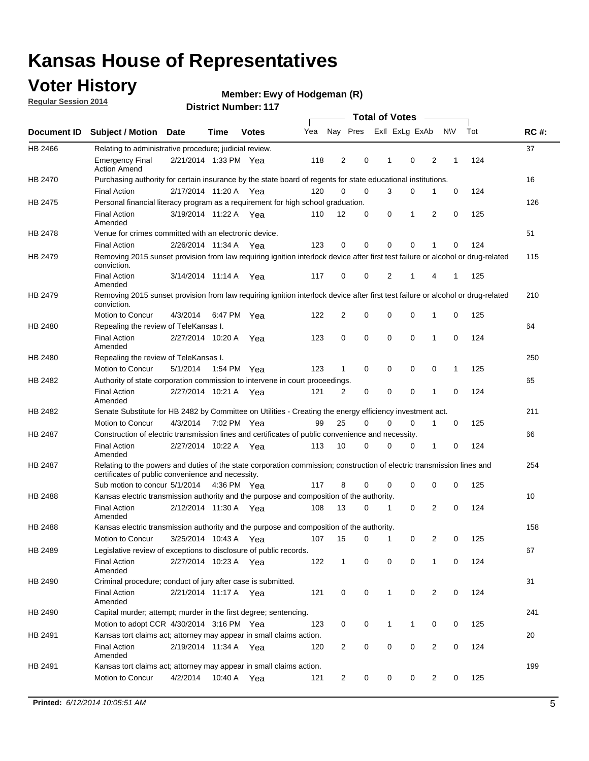## **Voter History**

**Regular Session 2014**

#### **Ewy of Hodgeman (R)**

|                    |                                                                                                                                                                             |                       |             |              |     |                | <b>Total of Votes</b> |              |                         |                |             |     |             |
|--------------------|-----------------------------------------------------------------------------------------------------------------------------------------------------------------------------|-----------------------|-------------|--------------|-----|----------------|-----------------------|--------------|-------------------------|----------------|-------------|-----|-------------|
| <b>Document ID</b> | <b>Subject / Motion Date</b>                                                                                                                                                |                       | Time        | <b>Votes</b> | Yea |                |                       |              | Nay Pres ExII ExLg ExAb |                | N\V         | Tot | <b>RC#:</b> |
| HB 2466            | Relating to administrative procedure; judicial review.                                                                                                                      |                       |             |              |     |                |                       |              |                         |                |             |     | 37          |
|                    | <b>Emergency Final</b><br><b>Action Amend</b>                                                                                                                               | 2/21/2014 1:33 PM Yea |             |              | 118 | 2              | 0                     | 1            | $\mathbf 0$             | 2              | 1           | 124 |             |
| <b>HB 2470</b>     | Purchasing authority for certain insurance by the state board of regents for state educational institutions.                                                                |                       |             |              |     |                |                       |              |                         |                |             |     | 16          |
|                    | <b>Final Action</b>                                                                                                                                                         | 2/17/2014 11:20 A Yea |             |              | 120 | 0              | 0                     | 3            | 0                       | 1              | 0           | 124 |             |
| HB 2475            | Personal financial literacy program as a requirement for high school graduation.                                                                                            |                       |             |              |     |                |                       |              |                         |                |             |     | 126         |
|                    | <b>Final Action</b><br>Amended                                                                                                                                              | 3/19/2014 11:22 A Yea |             |              | 110 | 12             | 0                     | 0            | 1                       | 2              | 0           | 125 |             |
| HB 2478            | Venue for crimes committed with an electronic device.                                                                                                                       |                       |             |              |     |                |                       |              |                         |                |             |     | 51          |
|                    | <b>Final Action</b>                                                                                                                                                         | 2/26/2014 11:34 A     |             | Yea          | 123 | 0              | 0                     | $\Omega$     | $\mathbf 0$             | 1              | $\mathbf 0$ | 124 |             |
| HB 2479            | Removing 2015 sunset provision from law requiring ignition interlock device after first test failure or alcohol or drug-related<br>conviction.                              |                       |             |              |     |                |                       |              |                         |                |             |     | 115         |
|                    | <b>Final Action</b><br>Amended                                                                                                                                              | 3/14/2014 11:14 A     |             | Yea          | 117 | 0              | 0                     | 2            | 1                       | 4              | 1           | 125 |             |
| HB 2479            | Removing 2015 sunset provision from law requiring ignition interlock device after first test failure or alcohol or drug-related<br>conviction.                              |                       |             |              |     |                |                       |              |                         |                |             |     | 210         |
|                    | Motion to Concur                                                                                                                                                            | 4/3/2014              |             | 6:47 PM Yea  | 122 | $\overline{2}$ | 0                     | $\mathbf 0$  | 0                       | 1              | 0           | 125 |             |
| HB 2480            | Repealing the review of TeleKansas I.                                                                                                                                       |                       |             |              |     |                |                       |              |                         |                |             |     | 64          |
|                    | <b>Final Action</b><br>Amended                                                                                                                                              | 2/27/2014 10:20 A Yea |             |              | 123 | 0              | 0                     | $\mathbf 0$  | $\mathbf 0$             | 1              | 0           | 124 |             |
| HB 2480            | Repealing the review of TeleKansas I.                                                                                                                                       |                       |             |              |     |                |                       |              |                         |                |             |     | 250         |
|                    | Motion to Concur                                                                                                                                                            | 5/1/2014              |             | 1:54 PM Yea  | 123 | 1              | 0                     | 0            | 0                       | 0              | 1           | 125 |             |
| HB 2482            | Authority of state corporation commission to intervene in court proceedings.                                                                                                |                       |             |              |     |                |                       |              |                         |                |             |     | 65          |
|                    | <b>Final Action</b><br>Amended                                                                                                                                              | 2/27/2014 10:21 A     |             | Yea          | 121 | 2              | 0                     | 0            | $\mathbf 0$             | 1              | 0           | 124 |             |
| HB 2482            | Senate Substitute for HB 2482 by Committee on Utilities - Creating the energy efficiency investment act.                                                                    |                       |             |              |     |                |                       |              |                         |                |             |     | 211         |
|                    | Motion to Concur                                                                                                                                                            | 4/3/2014 7:02 PM Yea  |             |              | 99  | 25             | $\Omega$              | 0            | $\mathbf 0$             | 1              | 0           | 125 |             |
| HB 2487            | Construction of electric transmission lines and certificates of public convenience and necessity.                                                                           |                       |             |              |     |                |                       |              |                         |                |             |     | 66          |
|                    | <b>Final Action</b><br>Amended                                                                                                                                              | 2/27/2014 10:22 A     |             | Yea          | 113 | 10             | 0                     | 0            | 0                       | 1              | 0           | 124 |             |
| HB 2487            | Relating to the powers and duties of the state corporation commission; construction of electric transmission lines and<br>certificates of public convenience and necessity. |                       |             |              |     |                |                       |              |                         |                |             |     | 254         |
|                    | Sub motion to concur 5/1/2014                                                                                                                                               |                       | 4:36 PM Yea |              | 117 | 8              | 0                     | 0            | $\mathbf 0$             | $\mathbf 0$    | 0           | 125 |             |
| HB 2488            | Kansas electric transmission authority and the purpose and composition of the authority.                                                                                    |                       |             |              |     |                |                       |              |                         |                |             |     | 10          |
|                    | <b>Final Action</b><br>Amended                                                                                                                                              | 2/12/2014 11:30 A Yea |             |              | 108 | 13             | 0                     | 1            | 0                       | 2              | 0           | 124 |             |
| <b>HB 2488</b>     | Kansas electric transmission authority and the purpose and composition of the authority.                                                                                    |                       |             |              |     |                |                       |              |                         |                |             |     | 158         |
|                    | Motion to Concur                                                                                                                                                            | 3/25/2014 10:43 A     |             | Yea          | 107 | 15             | 0                     | 1            | 0                       | 2              | 0           | 125 |             |
| HB 2489            | Legislative review of exceptions to disclosure of public records.                                                                                                           |                       |             |              |     |                |                       |              |                         |                |             |     | 67          |
|                    | <b>Final Action</b><br>Amended                                                                                                                                              | 2/27/2014 10:23 A Yea |             |              | 122 | $\mathbf{1}$   | 0                     | 0            | 0                       | 1              | 0           | 124 |             |
| HB 2490            | Criminal procedure; conduct of jury after case is submitted.                                                                                                                |                       |             |              |     |                |                       |              |                         |                |             |     | 31          |
|                    | <b>Final Action</b><br>Amended                                                                                                                                              | 2/21/2014 11:17 A Yea |             |              | 121 | 0              | 0                     | $\mathbf{1}$ | $\mathbf 0$             | $\overline{2}$ | $\mathbf 0$ | 124 |             |
| HB 2490            | Capital murder; attempt; murder in the first degree; sentencing.                                                                                                            |                       |             |              |     |                |                       |              |                         |                |             |     | 241         |
|                    | Motion to adopt CCR 4/30/2014 3:16 PM Yea                                                                                                                                   |                       |             |              | 123 | 0              | 0                     | $\mathbf{1}$ | 1                       | 0              | 0           | 125 |             |
| HB 2491            | Kansas tort claims act; attorney may appear in small claims action.                                                                                                         |                       |             |              |     |                |                       |              |                         |                |             |     | 20          |
|                    | <b>Final Action</b><br>Amended                                                                                                                                              | 2/19/2014 11:34 A Yea |             |              | 120 | $\overline{c}$ | 0                     | 0            | 0                       | $\overline{2}$ | 0           | 124 |             |
| HB 2491            | Kansas tort claims act; attorney may appear in small claims action.                                                                                                         |                       |             |              |     |                |                       |              |                         |                |             |     | 199         |
|                    | Motion to Concur                                                                                                                                                            | 4/2/2014              | 10:40 A     | Yea          | 121 | $\overline{2}$ | 0                     | 0            | 0                       | $\overline{2}$ | 0           | 125 |             |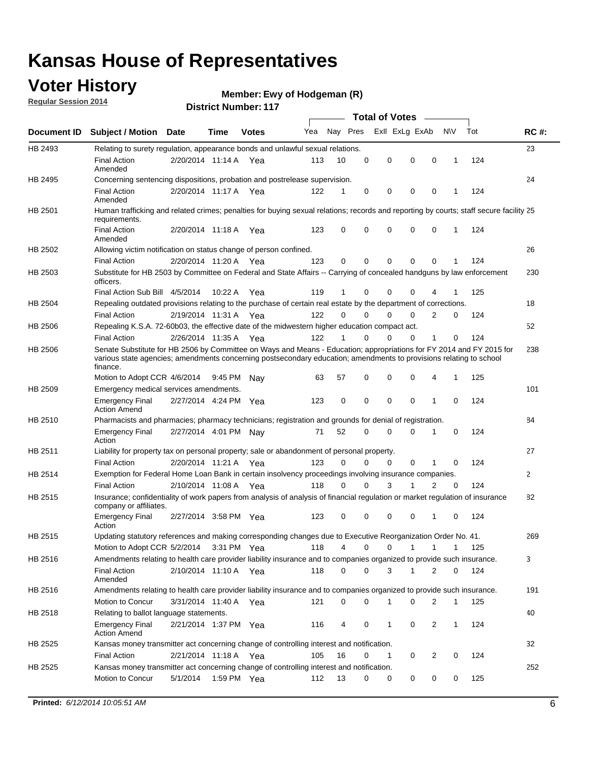### **Voter History**

**Regular Session 2014**

#### **Ewy of Hodgeman (R)**

|             |                                                                                                                                                                                                                                                        |                       |             | DISTICL NUTTING THE |     |          |          |   | <b>Total of Votes</b>       |                |              |     |              |
|-------------|--------------------------------------------------------------------------------------------------------------------------------------------------------------------------------------------------------------------------------------------------------|-----------------------|-------------|---------------------|-----|----------|----------|---|-----------------------------|----------------|--------------|-----|--------------|
| Document ID | <b>Subject / Motion Date</b>                                                                                                                                                                                                                           |                       | <b>Time</b> | <b>Votes</b>        | Yea | Nay Pres |          |   | Exll ExLg ExAb              |                | N\V          | Tot | <b>RC#:</b>  |
| HB 2493     | Relating to surety regulation, appearance bonds and unlawful sexual relations.                                                                                                                                                                         |                       |             |                     |     |          |          |   |                             |                |              |     | 23           |
|             | <b>Final Action</b><br>Amended                                                                                                                                                                                                                         | 2/20/2014 11:14 A Yea |             |                     | 113 | 10       | 0        |   | 0<br>$\mathbf 0$            | $\mathbf 0$    | $\mathbf 1$  | 124 |              |
| HB 2495     | Concerning sentencing dispositions, probation and postrelease supervision.                                                                                                                                                                             |                       |             |                     |     |          |          |   |                             |                |              |     | 24           |
|             | <b>Final Action</b><br>Amended                                                                                                                                                                                                                         | 2/20/2014 11:17 A     |             | Yea                 | 122 | 1        | 0        |   | 0<br>0                      | $\mathbf 0$    | 1            | 124 |              |
| HB 2501     | Human trafficking and related crimes; penalties for buying sexual relations; records and reporting by courts; staff secure facility 25<br>requirements.                                                                                                |                       |             |                     |     |          |          |   |                             |                |              |     |              |
|             | <b>Final Action</b><br>Amended                                                                                                                                                                                                                         | 2/20/2014 11:18 A Yea |             |                     | 123 | 0        | 0        |   | 0<br>0                      | $\mathbf 0$    | 1            | 124 |              |
| HB 2502     | Allowing victim notification on status change of person confined.                                                                                                                                                                                      |                       |             |                     |     |          |          |   |                             |                |              |     | 26           |
|             | <b>Final Action</b>                                                                                                                                                                                                                                    | 2/20/2014 11:20 A Yea |             |                     | 123 | 0        | 0        |   | 0<br>0                      | $\mathbf 0$    |              | 124 |              |
| HB 2503     | Substitute for HB 2503 by Committee on Federal and State Affairs -- Carrying of concealed handguns by law enforcement<br>officers.                                                                                                                     |                       |             |                     |     |          |          |   |                             |                |              |     | 230          |
|             | Final Action Sub Bill 4/5/2014                                                                                                                                                                                                                         |                       | 10:22A      | Yea                 | 119 | 1        | 0        |   | 0<br>0                      |                |              | 125 |              |
| HB 2504     | Repealing outdated provisions relating to the purchase of certain real estate by the department of corrections.                                                                                                                                        |                       |             |                     |     |          |          |   |                             |                |              |     | 18           |
|             | <b>Final Action</b>                                                                                                                                                                                                                                    | 2/19/2014 11:31 A     |             | Yea                 | 122 | $\Omega$ | 0        |   | 0<br>0                      | 2              | 0            | 124 |              |
| HB 2506     | Repealing K.S.A. 72-60b03, the effective date of the midwestern higher education compact act.                                                                                                                                                          |                       |             |                     |     |          |          |   |                             |                |              |     | 52           |
|             | <b>Final Action</b>                                                                                                                                                                                                                                    | 2/26/2014 11:35 A Yea |             |                     | 122 | 1        | 0        |   | 0<br>0                      | 1              | 0            | 124 |              |
| HB 2506     | Senate Substitute for HB 2506 by Committee on Ways and Means - Education; appropriations for FY 2014 and FY 2015 for<br>various state agencies; amendments concerning postsecondary education; amendments to provisions relating to school<br>finance. |                       |             |                     |     |          |          |   |                             |                |              |     | 238          |
|             | Motion to Adopt CCR 4/6/2014                                                                                                                                                                                                                           |                       | 9:45 PM     | Nav                 | 63  | 57       | 0        |   | 0<br>0                      | 4              | $\mathbf 1$  | 125 |              |
| HB 2509     | Emergency medical services amendments.                                                                                                                                                                                                                 |                       |             |                     |     |          |          |   |                             |                |              |     | 101          |
|             | <b>Emergency Final</b><br><b>Action Amend</b>                                                                                                                                                                                                          | 2/27/2014 4:24 PM Yea |             |                     | 123 | 0        | $\Omega$ |   | $\mathbf 0$<br>$\mathbf{0}$ | 1              | $\Omega$     | 124 |              |
| HB 2510     | Pharmacists and pharmacies; pharmacy technicians; registration and grounds for denial of registration.                                                                                                                                                 |                       |             |                     |     |          |          |   |                             |                |              |     | 84           |
|             | <b>Emergency Final</b><br>Action                                                                                                                                                                                                                       | 2/27/2014 4:01 PM Nay |             |                     | 71  | 52       | 0        |   | 0<br>0                      | 1              | 0            | 124 |              |
| HB 2511     | Liability for property tax on personal property; sale or abandonment of personal property.                                                                                                                                                             |                       |             |                     |     |          |          |   |                             |                |              |     | 27           |
|             | <b>Final Action</b>                                                                                                                                                                                                                                    | 2/20/2014 11:21 A     |             | Yea                 | 123 | 0        | 0        |   | 0<br>0                      | 1              | 0            | 124 |              |
| HB 2514     | Exemption for Federal Home Loan Bank in certain insolvency proceedings involving insurance companies.                                                                                                                                                  |                       |             |                     |     |          |          |   |                             |                |              |     | $\mathbf{2}$ |
|             | <b>Final Action</b>                                                                                                                                                                                                                                    | 2/10/2014 11:08 A     |             | Yea                 | 118 | 0        | $\Omega$ |   | 3<br>1                      | $\overline{2}$ | $\mathbf 0$  | 124 |              |
| HB 2515     | Insurance; confidentiality of work papers from analysis of analysis of financial regulation or market regulation of insurance<br>company or affiliates.                                                                                                |                       |             |                     |     |          |          |   |                             |                |              |     | 82           |
|             | <b>Emergency Final</b><br>Action                                                                                                                                                                                                                       | 2/27/2014 3:58 PM Yea |             |                     | 123 | 0        | 0        |   | 0<br>0                      | -1             | $\Omega$     | 124 |              |
| HB 2515     | Updating statutory references and making corresponding changes due to Executive Reorganization Order No. 41.                                                                                                                                           |                       |             |                     |     |          |          |   |                             |                |              |     | 269          |
|             | Motion to Adopt CCR 5/2/2014 3:31 PM Yea                                                                                                                                                                                                               |                       |             |                     | 118 | 4        | 0        |   | 0<br>1                      | 1              | 1            | 125 |              |
| HB 2516     | Amendments relating to health care provider liability insurance and to companies organized to provide such insurance.                                                                                                                                  |                       |             |                     |     |          |          |   |                             |                |              |     | 3            |
|             | <b>Final Action</b><br>Amended                                                                                                                                                                                                                         | 2/10/2014 11:10 A Yea |             |                     | 118 | 0        | 0        |   | 3<br>1                      | 2              | 0            | 124 |              |
| HB 2516     | Amendments relating to health care provider liability insurance and to companies organized to provide such insurance.                                                                                                                                  |                       |             |                     |     |          |          |   |                             |                |              |     | 191          |
|             | <b>Motion to Concur</b>                                                                                                                                                                                                                                | 3/31/2014 11:40 A Yea |             |                     | 121 | 0        | 0        | 1 | 0                           | 2              | $\mathbf 1$  | 125 |              |
| HB 2518     | Relating to ballot language statements.                                                                                                                                                                                                                |                       |             |                     |     |          |          |   |                             |                |              |     | 40           |
|             | <b>Emergency Final</b><br><b>Action Amend</b>                                                                                                                                                                                                          | 2/21/2014 1:37 PM Yea |             |                     | 116 | 4        | 0        |   | 1<br>0                      | 2              | $\mathbf{1}$ | 124 |              |
| HB 2525     | Kansas money transmitter act concerning change of controlling interest and notification.                                                                                                                                                               |                       |             |                     |     |          |          |   |                             |                |              |     | 32           |
|             | <b>Final Action</b>                                                                                                                                                                                                                                    | 2/21/2014 11:18 A Yea |             |                     | 105 | 16       | 0        |   | 1<br>0                      | 2              | 0            | 124 |              |
| HB 2525     | Kansas money transmitter act concerning change of controlling interest and notification.                                                                                                                                                               |                       |             |                     |     |          |          |   |                             |                |              |     | 252          |
|             | Motion to Concur                                                                                                                                                                                                                                       | 5/1/2014              | 1:59 PM Yea |                     | 112 | 13       | 0        |   | 0<br>0                      | 0              | 0            | 125 |              |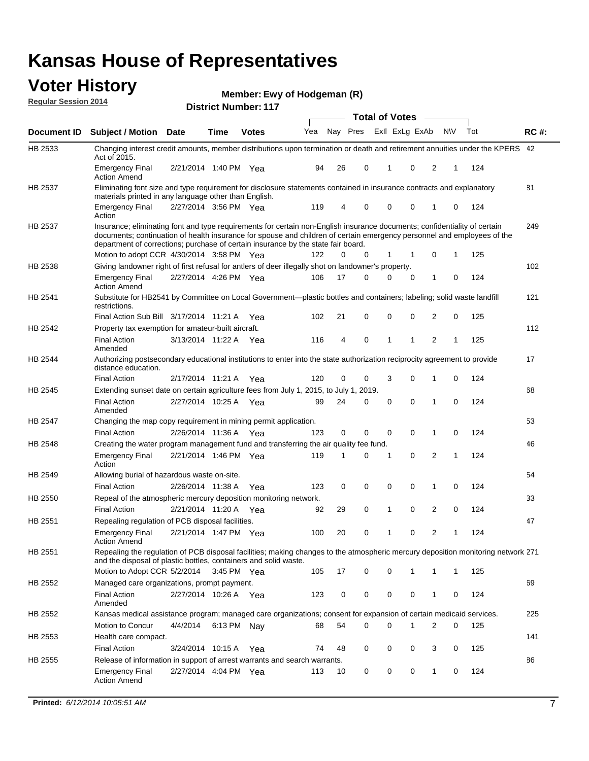#### **Voter History Regular Session 2014**

**Ewy of Hodgeman (R)**

|                    |                                                                                                                                                                                                                                                                                                                                           |                       |             | <b>DISTRICT NUMBER: 117</b> |     |    |          | Total of Votes – |             |                |              |     |     |             |
|--------------------|-------------------------------------------------------------------------------------------------------------------------------------------------------------------------------------------------------------------------------------------------------------------------------------------------------------------------------------------|-----------------------|-------------|-----------------------------|-----|----|----------|------------------|-------------|----------------|--------------|-----|-----|-------------|
| <b>Document ID</b> | <b>Subject / Motion Date</b>                                                                                                                                                                                                                                                                                                              |                       | Time        | <b>Votes</b>                | Yea |    | Nay Pres |                  |             | Exll ExLg ExAb |              | N\V | Tot | <b>RC#:</b> |
| HB 2533            | Changing interest credit amounts, member distributions upon termination or death and retirement annuities under the KPERS 42<br>Act of 2015.                                                                                                                                                                                              |                       |             |                             |     |    |          |                  |             |                |              |     |     |             |
|                    | <b>Emergency Final</b><br><b>Action Amend</b>                                                                                                                                                                                                                                                                                             | 2/21/2014 1:40 PM Yea |             |                             | 94  | 26 | 0        |                  | 1           | 0              | 2            | 1   | 124 |             |
| HB 2537            | Eliminating font size and type requirement for disclosure statements contained in insurance contracts and explanatory<br>materials printed in any language other than English.                                                                                                                                                            |                       |             |                             |     |    |          |                  |             |                |              |     |     | 81          |
|                    | <b>Emergency Final</b><br>Action                                                                                                                                                                                                                                                                                                          | 2/27/2014 3:56 PM Yea |             |                             | 119 | 4  | 0        |                  | $\mathbf 0$ | $\mathbf 0$    | 1            | 0   | 124 |             |
| HB 2537            | Insurance; eliminating font and type requirements for certain non-English insurance documents; confidentiality of certain<br>documents; continuation of health insurance for spouse and children of certain emergency personnel and employees of the<br>department of corrections; purchase of certain insurance by the state fair board. |                       |             |                             |     |    |          |                  |             |                |              |     |     | 249         |
|                    | Motion to adopt CCR 4/30/2014 3:58 PM Yea                                                                                                                                                                                                                                                                                                 |                       |             |                             | 122 | 0  | 0        |                  | $\mathbf 1$ | $\mathbf 1$    | 0            | 1   | 125 |             |
| HB 2538            | Giving landowner right of first refusal for antlers of deer illegally shot on landowner's property.                                                                                                                                                                                                                                       |                       |             |                             |     |    |          |                  |             |                |              |     |     | 102         |
|                    | <b>Emergency Final</b><br><b>Action Amend</b>                                                                                                                                                                                                                                                                                             | 2/27/2014 4:26 PM Yea |             |                             | 106 | 17 | 0        |                  | 0           | 0              | 1            | 0   | 124 |             |
| HB 2541            | Substitute for HB2541 by Committee on Local Government—plastic bottles and containers; labeling; solid waste landfill<br>restrictions.                                                                                                                                                                                                    |                       |             |                             |     |    |          |                  |             |                |              |     |     | 121         |
|                    | Final Action Sub Bill 3/17/2014 11:21 A Yea                                                                                                                                                                                                                                                                                               |                       |             |                             | 102 | 21 | 0        |                  | $\mathbf 0$ | 0              | 2            | 0   | 125 |             |
| HB 2542            | Property tax exemption for amateur-built aircraft.                                                                                                                                                                                                                                                                                        |                       |             |                             |     |    |          |                  |             |                |              |     |     | 112         |
|                    | <b>Final Action</b><br>Amended                                                                                                                                                                                                                                                                                                            | 3/13/2014 11:22 A Yea |             |                             | 116 | 4  | 0        |                  | 1           | 1              | 2            | 1   | 125 |             |
| <b>HB 2544</b>     | Authorizing postsecondary educational institutions to enter into the state authorization reciprocity agreement to provide<br>distance education.                                                                                                                                                                                          |                       |             |                             |     |    |          |                  |             |                |              |     |     | 17          |
|                    | <b>Final Action</b>                                                                                                                                                                                                                                                                                                                       | 2/17/2014 11:21 A Yea |             |                             | 120 | 0  | 0        |                  | 3           | $\mathbf 0$    | 1            | 0   | 124 |             |
| HB 2545            | Extending sunset date on certain agriculture fees from July 1, 2015, to July 1,                                                                                                                                                                                                                                                           |                       |             |                             |     |    |          | 2019.            |             |                |              |     |     | 68          |
|                    | <b>Final Action</b><br>Amended                                                                                                                                                                                                                                                                                                            | 2/27/2014 10:25 A Yea |             |                             | 99  | 24 | 0        |                  | $\mathbf 0$ | $\Omega$       | 1            | 0   | 124 |             |
| <b>HB 2547</b>     | Changing the map copy requirement in mining permit application.                                                                                                                                                                                                                                                                           |                       |             |                             |     |    |          |                  |             |                |              |     |     | 53          |
|                    | <b>Final Action</b>                                                                                                                                                                                                                                                                                                                       | 2/26/2014 11:36 A     |             | Yea                         | 123 | 0  | 0        |                  | 0           | 0              | $\mathbf{1}$ | 0   | 124 |             |
| HB 2548            | Creating the water program management fund and transferring the air quality fee fund.                                                                                                                                                                                                                                                     |                       |             |                             |     |    |          |                  |             |                |              |     |     | 46          |
|                    | <b>Emergency Final</b><br>Action                                                                                                                                                                                                                                                                                                          | 2/21/2014 1:46 PM Yea |             |                             | 119 | 1  | 0        |                  | 1           | 0              | 2            | 1   | 124 |             |
| HB 2549            | Allowing burial of hazardous waste on-site.                                                                                                                                                                                                                                                                                               |                       |             |                             |     |    |          |                  |             |                |              |     |     | 54          |
|                    | <b>Final Action</b>                                                                                                                                                                                                                                                                                                                       | 2/26/2014 11:38 A     |             | Yea                         | 123 | 0  | 0        |                  | 0           | $\mathbf 0$    | 1            | 0   | 124 |             |
| HB 2550            | Repeal of the atmospheric mercury deposition monitoring network.                                                                                                                                                                                                                                                                          |                       |             |                             |     |    |          |                  |             |                |              |     |     | 33          |
|                    | <b>Final Action</b>                                                                                                                                                                                                                                                                                                                       | 2/21/2014 11:20 A Yea |             |                             | 92  | 29 | 0        |                  | 1           | 0              | 2            | 0   | 124 |             |
| HB 2551            | Repealing regulation of PCB disposal facilities.                                                                                                                                                                                                                                                                                          |                       |             |                             |     |    |          |                  |             |                |              |     |     | 47          |
|                    | <b>Emergency Final</b><br><b>Action Amend</b>                                                                                                                                                                                                                                                                                             | 2/21/2014 1:47 PM Yea |             |                             | 100 | 20 | 0        |                  | 1           | 0              | 2            | 1   | 124 |             |
| HB 2551            | Repealing the regulation of PCB disposal facilities; making changes to the atmospheric mercury deposition monitoring network 271<br>and the disposal of plastic bottles, containers and solid waste.                                                                                                                                      |                       |             |                             |     |    |          |                  |             |                |              |     |     |             |
|                    | Motion to Adopt CCR 5/2/2014 3:45 PM Yea                                                                                                                                                                                                                                                                                                  |                       |             |                             | 105 | 17 | 0        |                  | 0           | 1              | 1            | 1   | 125 |             |
| HB 2552            | Managed care organizations, prompt payment.                                                                                                                                                                                                                                                                                               |                       |             |                             |     |    |          |                  |             |                |              |     |     | 69          |
|                    | <b>Final Action</b><br>Amended                                                                                                                                                                                                                                                                                                            | 2/27/2014 10:26 A Yea |             |                             | 123 | 0  | 0        |                  | 0           | 0              | 1            | 0   | 124 |             |
| HB 2552            | Kansas medical assistance program; managed care organizations; consent for expansion of certain medicaid services.                                                                                                                                                                                                                        |                       |             |                             |     |    |          |                  |             |                |              |     |     | 225         |
|                    | Motion to Concur                                                                                                                                                                                                                                                                                                                          | 4/4/2014              | 6:13 PM Nay |                             | 68  | 54 | 0        |                  | $\Omega$    |                | 2            | 0   | 125 |             |
| HB 2553            | Health care compact.                                                                                                                                                                                                                                                                                                                      |                       |             |                             |     |    |          |                  |             |                |              |     |     | 141         |
|                    | <b>Final Action</b>                                                                                                                                                                                                                                                                                                                       | 3/24/2014 10:15 A Yea |             |                             | 74  | 48 | 0        |                  | 0           | 0              | 3            | 0   | 125 |             |
| HB 2555            | Release of information in support of arrest warrants and search warrants.                                                                                                                                                                                                                                                                 |                       |             |                             |     |    |          |                  |             |                |              |     |     | 86          |
|                    | <b>Emergency Final</b>                                                                                                                                                                                                                                                                                                                    | 2/27/2014 4:04 PM Yea |             |                             | 113 | 10 | 0        |                  | 0           | 0              | 1            | 0   | 124 |             |
|                    | <b>Action Amend</b>                                                                                                                                                                                                                                                                                                                       |                       |             |                             |     |    |          |                  |             |                |              |     |     |             |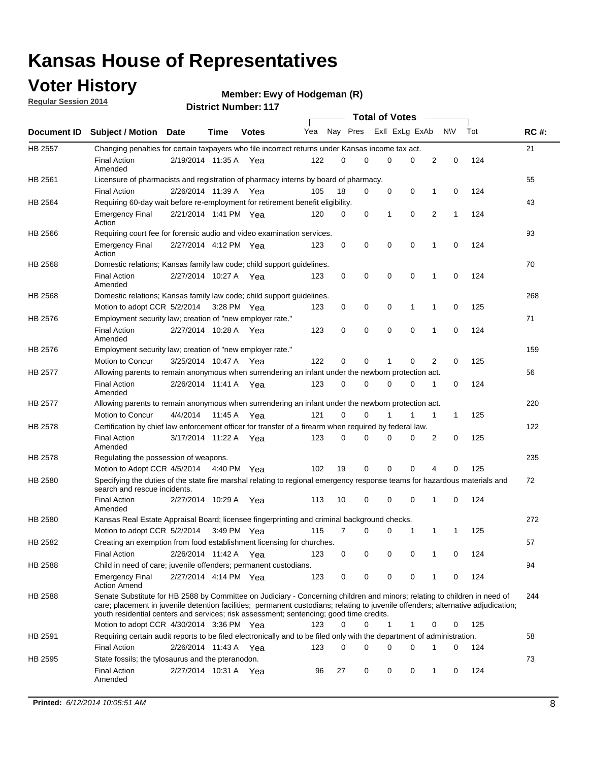## **Voter History**

**Regular Session 2014**

#### **Ewy of Hodgeman (R)**

|                |                                                                                                                                                                                                                                                                                                                                                           |                       |         |              |     |          |          | <b>Total of Votes</b> |             |   |             |     |             |
|----------------|-----------------------------------------------------------------------------------------------------------------------------------------------------------------------------------------------------------------------------------------------------------------------------------------------------------------------------------------------------------|-----------------------|---------|--------------|-----|----------|----------|-----------------------|-------------|---|-------------|-----|-------------|
|                | Document ID Subject / Motion Date                                                                                                                                                                                                                                                                                                                         |                       | Time    | <b>Votes</b> | Yea | Nay Pres |          | Exll ExLg ExAb        |             |   | N\V         | Tot | <b>RC#:</b> |
| HB 2557        | Changing penalties for certain taxpayers who file incorrect returns under Kansas income tax act.                                                                                                                                                                                                                                                          |                       |         |              |     |          |          |                       |             |   |             |     | 21          |
|                | <b>Final Action</b><br>Amended                                                                                                                                                                                                                                                                                                                            | 2/19/2014 11:35 A     |         | Yea          | 122 | 0        | 0        | 0                     | 0           | 2 | $\mathbf 0$ | 124 |             |
| HB 2561        | Licensure of pharmacists and registration of pharmacy interns by board of pharmacy.                                                                                                                                                                                                                                                                       |                       |         |              |     |          |          |                       |             |   |             |     | 55          |
|                | <b>Final Action</b>                                                                                                                                                                                                                                                                                                                                       | 2/26/2014 11:39 A Yea |         |              | 105 | 18       | 0        | 0                     | 0           | 1 | 0           | 124 |             |
| HB 2564        | Requiring 60-day wait before re-employment for retirement benefit eligibility.                                                                                                                                                                                                                                                                            |                       |         |              |     |          |          |                       |             |   |             |     | 43          |
|                | <b>Emergency Final</b><br>Action                                                                                                                                                                                                                                                                                                                          | 2/21/2014 1:41 PM Yea |         |              | 120 | 0        | 0        | 1                     | 0           | 2 | 1           | 124 |             |
| HB 2566        | Requiring court fee for forensic audio and video examination services.                                                                                                                                                                                                                                                                                    |                       |         |              |     |          |          |                       |             |   |             |     | 93          |
|                | <b>Emergency Final</b><br>Action                                                                                                                                                                                                                                                                                                                          | 2/27/2014 4:12 PM Yea |         |              | 123 | 0        | 0        | $\mathbf 0$           | $\mathbf 0$ | 1 | 0           | 124 |             |
| HB 2568        | Domestic relations; Kansas family law code; child support guidelines.                                                                                                                                                                                                                                                                                     |                       |         |              |     |          |          |                       |             |   |             |     | 70          |
|                | <b>Final Action</b><br>Amended                                                                                                                                                                                                                                                                                                                            | 2/27/2014 10:27 A     |         | Yea          | 123 | 0        | 0        | 0                     | $\mathbf 0$ | 1 | 0           | 124 |             |
| HB 2568        | Domestic relations; Kansas family law code; child support guidelines.                                                                                                                                                                                                                                                                                     |                       |         |              |     |          |          |                       |             |   |             |     | 268         |
|                | Motion to adopt CCR 5/2/2014                                                                                                                                                                                                                                                                                                                              |                       |         | 3:28 PM Yea  | 123 | 0        | 0        | 0                     | 1           | 1 | 0           | 125 |             |
| HB 2576        | Employment security law; creation of "new employer rate."                                                                                                                                                                                                                                                                                                 |                       |         |              |     |          |          |                       |             |   |             |     | 71          |
|                | <b>Final Action</b><br>Amended                                                                                                                                                                                                                                                                                                                            | 2/27/2014 10:28 A     |         | Yea          | 123 | 0        | 0        | 0                     | $\mathbf 0$ | 1 | 0           | 124 |             |
| HB 2576        | Employment security law; creation of "new employer rate."                                                                                                                                                                                                                                                                                                 |                       |         |              |     |          |          |                       |             |   |             |     | 159         |
|                | Motion to Concur                                                                                                                                                                                                                                                                                                                                          | 3/25/2014 10:47 A     |         | Yea          | 122 | 0        | 0        | 1                     | 0           | 2 | 0           | 125 |             |
| <b>HB 2577</b> | Allowing parents to remain anonymous when surrendering an infant under the newborn protection act.                                                                                                                                                                                                                                                        |                       |         |              |     |          |          |                       |             |   |             |     | 56          |
|                | <b>Final Action</b><br>Amended                                                                                                                                                                                                                                                                                                                            | 2/26/2014 11:41 A Yea |         |              | 123 | 0        | $\Omega$ | 0                     | 0           | 1 | 0           | 124 |             |
| HB 2577        | Allowing parents to remain anonymous when surrendering an infant under the newborn protection act.                                                                                                                                                                                                                                                        |                       |         |              |     |          |          |                       |             |   |             |     | 220         |
|                | Motion to Concur                                                                                                                                                                                                                                                                                                                                          | 4/4/2014              | 11:45 A | Yea          | 121 | 0        | 0        |                       | 1           | 1 | $\mathbf 1$ | 125 |             |
| HB 2578        | Certification by chief law enforcement officer for transfer of a firearm when required by federal law.                                                                                                                                                                                                                                                    |                       |         |              |     |          |          |                       |             |   |             |     | 122         |
|                | <b>Final Action</b><br>Amended                                                                                                                                                                                                                                                                                                                            | 3/17/2014 11:22 A     |         | Yea          | 123 | 0        | 0        | $\Omega$              | $\Omega$    | 2 | 0           | 125 |             |
| HB 2578        | Regulating the possession of weapons.                                                                                                                                                                                                                                                                                                                     |                       |         |              |     |          |          |                       |             |   |             |     | 235         |
|                | Motion to Adopt CCR 4/5/2014 4:40 PM Yea                                                                                                                                                                                                                                                                                                                  |                       |         |              | 102 | 19       | 0        | 0                     | 0           | 4 | 0           | 125 |             |
| HB 2580        | Specifying the duties of the state fire marshal relating to regional emergency response teams for hazardous materials and<br>search and rescue incidents.                                                                                                                                                                                                 |                       |         |              |     |          |          |                       |             |   |             |     | 72          |
|                | <b>Final Action</b><br>Amended                                                                                                                                                                                                                                                                                                                            | 2/27/2014 10:29 A     |         | Yea          | 113 | 10       | 0        | $\mathbf 0$           | $\mathbf 0$ | 1 | 0           | 124 |             |
| HB 2580        | Kansas Real Estate Appraisal Board; licensee fingerprinting and criminal background checks.                                                                                                                                                                                                                                                               |                       |         |              |     |          |          |                       |             |   |             |     | 272         |
|                | Motion to adopt CCR 5/2/2014                                                                                                                                                                                                                                                                                                                              |                       |         | 3:49 PM Yea  | 115 | 7        | 0        | 0                     | 1           | 1 | 1           | 125 |             |
| HB 2582        | Creating an exemption from food establishment licensing for churches.                                                                                                                                                                                                                                                                                     |                       |         |              |     |          |          |                       |             |   |             |     | 57          |
|                | <b>Final Action</b>                                                                                                                                                                                                                                                                                                                                       | 2/26/2014 11:42 A Yea |         |              | 123 | 0        | 0        | 0                     | 0           |   | 0           | 124 |             |
| HB 2588        | Child in need of care; juvenile offenders; permanent custodians.                                                                                                                                                                                                                                                                                          |                       |         |              |     |          |          |                       |             |   |             |     | 94          |
|                | <b>Emergency Final</b><br><b>Action Amend</b>                                                                                                                                                                                                                                                                                                             | 2/27/2014 4:14 PM Yea |         |              | 123 | 0        | 0        | 0                     | 0           | 1 | 0           | 124 |             |
| HB 2588        | Senate Substitute for HB 2588 by Committee on Judiciary - Concerning children and minors; relating to children in need of<br>care; placement in juvenile detention facilities; permanent custodians; relating to juvenile offenders; alternative adjudication;<br>youth residential centers and services; risk assessment; sentencing; good time credits. |                       |         |              |     |          |          |                       |             |   |             |     | 244         |
|                | Motion to adopt CCR 4/30/2014 3:36 PM Yea                                                                                                                                                                                                                                                                                                                 |                       |         |              | 123 | 0        | 0        | 1                     | 1           | 0 | 0           | 125 |             |
| HB 2591        | Requiring certain audit reports to be filed electronically and to be filed only with the department of administration.                                                                                                                                                                                                                                    |                       |         |              |     |          |          |                       |             |   |             |     | 58          |
|                | <b>Final Action</b>                                                                                                                                                                                                                                                                                                                                       | 2/26/2014 11:43 A Yea |         |              | 123 | 0        | 0        | 0                     | 0           | 1 | 0           | 124 |             |
| HB 2595        | State fossils; the tylosaurus and the pteranodon.                                                                                                                                                                                                                                                                                                         |                       |         |              |     |          |          |                       |             |   |             |     | 73          |
|                | <b>Final Action</b><br>Amended                                                                                                                                                                                                                                                                                                                            | 2/27/2014 10:31 A Yea |         |              | 96  | 27       | 0        | 0                     | 0           | 1 | 0           | 124 |             |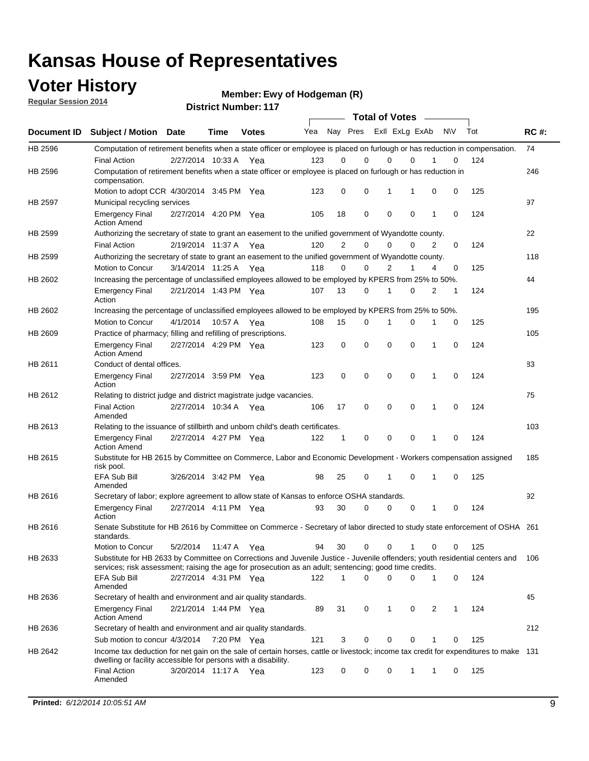### **Voter History**

**Regular Session 2014**

**Ewy of Hodgeman (R)**

|                    |                                                                                                                                                                                                                                       |                       |             | DISTRICT MAILIDEL. I IT |     |                |             | <b>Total of Votes</b> |             |                |              |           |     |             |
|--------------------|---------------------------------------------------------------------------------------------------------------------------------------------------------------------------------------------------------------------------------------|-----------------------|-------------|-------------------------|-----|----------------|-------------|-----------------------|-------------|----------------|--------------|-----------|-----|-------------|
| <b>Document ID</b> | <b>Subject / Motion</b>                                                                                                                                                                                                               | <b>Date</b>           | Time        | <b>Votes</b>            | Yea |                | Nay Pres    |                       |             | Exll ExLg ExAb |              | <b>NV</b> | Tot | <b>RC#:</b> |
| HB 2596            | Computation of retirement benefits when a state officer or employee is placed on furlough or has reduction in compensation.                                                                                                           |                       |             |                         |     |                |             |                       |             |                |              |           |     | 74          |
|                    | <b>Final Action</b>                                                                                                                                                                                                                   | 2/27/2014 10:33 A     |             | Yea                     | 123 | 0              | 0           |                       | 0           | $\Omega$       |              | 0         | 124 |             |
| HB 2596            | Computation of retirement benefits when a state officer or employee is placed on furlough or has reduction in<br>compensation.                                                                                                        |                       |             |                         |     |                |             |                       |             |                |              |           |     | 246         |
|                    | Motion to adopt CCR 4/30/2014 3:45 PM Yea                                                                                                                                                                                             |                       |             |                         | 123 | 0              | 0           |                       | 1           | 1              | 0            | 0         | 125 |             |
| HB 2597            | Municipal recycling services                                                                                                                                                                                                          |                       |             |                         |     |                |             |                       |             |                |              |           |     | 97          |
|                    | <b>Emergency Final</b><br><b>Action Amend</b>                                                                                                                                                                                         | 2/27/2014 4:20 PM Yea |             |                         | 105 | 18             | $\mathbf 0$ |                       | $\mathbf 0$ | 0              | 1            | 0         | 124 |             |
| HB 2599            | Authorizing the secretary of state to grant an easement to the unified government of Wyandotte county.                                                                                                                                |                       |             |                         |     |                |             |                       |             |                |              |           |     | 22          |
|                    | <b>Final Action</b>                                                                                                                                                                                                                   | 2/19/2014 11:37 A     |             | Yea                     | 120 | $\overline{2}$ | 0           |                       | $\mathbf 0$ | $\Omega$       | 2            | 0         | 124 |             |
| HB 2599            | Authorizing the secretary of state to grant an easement to the unified government of Wyandotte county.                                                                                                                                |                       |             |                         |     |                |             |                       |             |                |              |           |     | 118         |
|                    | Motion to Concur                                                                                                                                                                                                                      | 3/14/2014 11:25 A Yea |             |                         | 118 | $\Omega$       | 0           |                       | 2           | 1              | 4            | 0         | 125 |             |
| HB 2602            | Increasing the percentage of unclassified employees allowed to be employed by KPERS from 25% to 50%.                                                                                                                                  |                       |             |                         |     |                |             |                       |             |                |              |           |     | 44          |
|                    | <b>Emergency Final</b><br>Action                                                                                                                                                                                                      | 2/21/2014 1:43 PM Yea |             |                         | 107 | 13             | 0           |                       | 1           | $\Omega$       | 2            | 1         | 124 |             |
| HB 2602            | Increasing the percentage of unclassified employees allowed to be employed by KPERS from 25% to 50%.                                                                                                                                  |                       |             |                         |     |                |             |                       |             |                |              |           |     | 195         |
|                    | Motion to Concur                                                                                                                                                                                                                      | 4/1/2014              | 10:57 A Yea |                         | 108 | 15             | 0           |                       | 1           | 0              | 1            | 0         | 125 |             |
| HB 2609            | Practice of pharmacy; filling and refilling of prescriptions.                                                                                                                                                                         |                       |             |                         |     |                |             |                       |             |                |              |           |     | 105         |
|                    | <b>Emergency Final</b><br><b>Action Amend</b>                                                                                                                                                                                         | 2/27/2014 4:29 PM Yea |             |                         | 123 | 0              | $\mathbf 0$ |                       | $\mathbf 0$ | 0              | 1            | 0         | 124 |             |
| HB 2611            | Conduct of dental offices.                                                                                                                                                                                                            |                       |             |                         |     |                |             |                       |             |                |              |           |     | 83          |
|                    | <b>Emergency Final</b><br>Action                                                                                                                                                                                                      | 2/27/2014 3:59 PM Yea |             |                         | 123 | $\mathbf 0$    | $\mathbf 0$ |                       | $\mathbf 0$ | 0              | $\mathbf{1}$ | 0         | 124 |             |
| HB 2612            | Relating to district judge and district magistrate judge vacancies.                                                                                                                                                                   |                       |             |                         |     |                |             |                       |             |                |              |           |     | 75          |
|                    | <b>Final Action</b><br>Amended                                                                                                                                                                                                        | 2/27/2014 10:34 A     |             | Yea                     | 106 | 17             | 0           |                       | $\mathbf 0$ | 0              | 1            | 0         | 124 |             |
| HB 2613            | Relating to the issuance of stillbirth and unborn child's death certificates.                                                                                                                                                         |                       |             |                         |     |                |             |                       |             |                |              |           |     | 103         |
|                    | <b>Emergency Final</b><br><b>Action Amend</b>                                                                                                                                                                                         | 2/27/2014 4:27 PM Yea |             |                         | 122 | 1              | 0           |                       | $\mathbf 0$ | 0              | $\mathbf{1}$ | 0         | 124 |             |
| HB 2615            | Substitute for HB 2615 by Committee on Commerce, Labor and Economic Development - Workers compensation assigned<br>risk pool.                                                                                                         |                       |             |                         |     |                |             |                       |             |                |              |           |     | 185         |
|                    | <b>EFA Sub Bill</b><br>Amended                                                                                                                                                                                                        | 3/26/2014 3:42 PM Yea |             |                         | 98  | 25             | 0           |                       | 1           | 0              | 1            | 0         | 125 |             |
| HB 2616            | Secretary of labor; explore agreement to allow state of Kansas to enforce OSHA standards.                                                                                                                                             |                       |             |                         |     |                |             |                       |             |                |              |           |     | 92          |
|                    | <b>Emergency Final</b><br>Action                                                                                                                                                                                                      | 2/27/2014 4:11 PM Yea |             |                         | 93  | 30             | 0           |                       | 0           | 0              | 1            | 0         | 124 |             |
| HB 2616            | Senate Substitute for HB 2616 by Committee on Commerce - Secretary of labor directed to study state enforcement of OSHA 261<br>standards.                                                                                             |                       |             |                         |     |                |             |                       |             |                |              |           |     |             |
|                    | Motion to Concur                                                                                                                                                                                                                      | 5/2/2014              | 11:47 A Yea |                         | 94  | 30             | 0           |                       | 0           |                | 0            | 0         | 125 |             |
| HB 2633            | Substitute for HB 2633 by Committee on Corrections and Juvenile Justice - Juvenile offenders; youth residential centers and<br>services; risk assessment; raising the age for prosecution as an adult; sentencing; good time credits. |                       |             |                         |     |                |             |                       |             |                |              |           |     | 106         |
|                    | <b>EFA Sub Bill</b><br>Amended                                                                                                                                                                                                        | 2/27/2014 4:31 PM Yea |             |                         | 122 | 1              | 0           |                       | $\mathbf 0$ | 0              | $\mathbf{1}$ | 0         | 124 |             |
| HB 2636            | Secretary of health and environment and air quality standards.                                                                                                                                                                        |                       |             |                         |     |                |             |                       |             |                |              |           |     | 45          |
|                    | <b>Emergency Final</b><br><b>Action Amend</b>                                                                                                                                                                                         | 2/21/2014 1:44 PM Yea |             |                         | 89  | 31             | 0           |                       | 1           | 0              | 2            | 1         | 124 |             |
| HB 2636            | Secretary of health and environment and air quality standards.                                                                                                                                                                        |                       |             |                         |     |                |             |                       |             |                |              |           |     | 212         |
|                    | Sub motion to concur 4/3/2014 7:20 PM Yea                                                                                                                                                                                             |                       |             |                         | 121 | 3              | 0           |                       | 0           | 0              |              | 0         | 125 |             |
| HB 2642            | Income tax deduction for net gain on the sale of certain horses, cattle or livestock; income tax credit for expenditures to make 131<br>dwelling or facility accessible for persons with a disability.                                |                       |             |                         |     |                |             |                       |             |                |              |           |     |             |
|                    | <b>Final Action</b><br>Amended                                                                                                                                                                                                        | 3/20/2014 11:17 A Yea |             |                         | 123 | 0              | 0           |                       | 0           | 1              | 1            | 0         | 125 |             |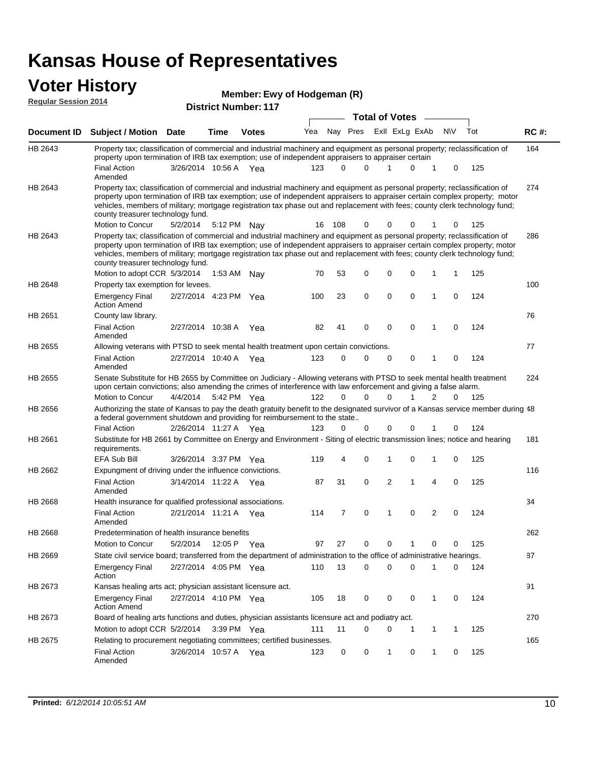#### **Voter History**<br> **Regular Session 2014 Regular Session 2014**

| <b>District Number: 117</b> |  |
|-----------------------------|--|
|                             |  |

|         |                                                                                                                                                                                                                                                                                                                                                                                                                                                               |                       |         |              |     |          |                         | <b>Total of Votes</b> |              |             |             |     |             |
|---------|---------------------------------------------------------------------------------------------------------------------------------------------------------------------------------------------------------------------------------------------------------------------------------------------------------------------------------------------------------------------------------------------------------------------------------------------------------------|-----------------------|---------|--------------|-----|----------|-------------------------|-----------------------|--------------|-------------|-------------|-----|-------------|
|         | Document ID Subject / Motion Date                                                                                                                                                                                                                                                                                                                                                                                                                             |                       | Time    | <b>Votes</b> | Yea |          | Nay Pres Exll ExLg ExAb |                       |              |             | <b>NV</b>   | Tot | <b>RC#:</b> |
| HB 2643 | Property tax; classification of commercial and industrial machinery and equipment as personal property; reclassification of<br>property upon termination of IRB tax exemption; use of independent appraisers to appraiser certain                                                                                                                                                                                                                             |                       |         |              |     |          |                         |                       |              |             |             |     | 164         |
|         | <b>Final Action</b><br>Amended                                                                                                                                                                                                                                                                                                                                                                                                                                | 3/26/2014 10:56 A Yea |         |              | 123 | $\Omega$ | $\Omega$                | 1                     | $\Omega$     | $\mathbf 1$ | 0           | 125 |             |
| HB 2643 | Property tax; classification of commercial and industrial machinery and equipment as personal property; reclassification of<br>property upon termination of IRB tax exemption; use of independent appraisers to appraiser certain complex property; motor<br>vehicles, members of military; mortgage registration tax phase out and replacement with fees; county clerk technology fund;<br>county treasurer technology fund.                                 |                       |         |              |     |          |                         |                       |              |             |             |     | 274         |
|         | Motion to Concur                                                                                                                                                                                                                                                                                                                                                                                                                                              | 5/2/2014              |         | 5:12 PM Nav  | 16  | 108      | 0                       | 0                     | 0            |             | 0           | 125 |             |
| HB 2643 | Property tax; classification of commercial and industrial machinery and equipment as personal property; reclassification of<br>property upon termination of IRB tax exemption; use of independent appraisers to appraiser certain complex property; motor<br>vehicles, members of military; mortgage registration tax phase out and replacement with fees; county clerk technology fund;<br>county treasurer technology fund.<br>Motion to adopt CCR 5/3/2014 |                       | 1:53 AM |              | 70  | 53       | 0                       | $\mathbf 0$           | 0            | 1           | 1           | 125 | 286         |
| HB 2648 | Property tax exemption for levees.                                                                                                                                                                                                                                                                                                                                                                                                                            |                       |         | Nav          |     |          |                         |                       |              |             |             |     | 100         |
|         | <b>Emergency Final</b><br><b>Action Amend</b>                                                                                                                                                                                                                                                                                                                                                                                                                 | 2/27/2014 4:23 PM Yea |         |              | 100 | 23       | 0                       | 0                     | 0            | 1           | 0           | 124 |             |
| HB 2651 | County law library.                                                                                                                                                                                                                                                                                                                                                                                                                                           |                       |         |              |     |          |                         |                       |              |             |             |     | 76          |
|         | <b>Final Action</b><br>Amended                                                                                                                                                                                                                                                                                                                                                                                                                                | 2/27/2014 10:38 A     |         | Yea          | 82  | 41       | 0                       | $\mathbf 0$           | 0            | 1           | 0           | 124 |             |
| HB 2655 | Allowing veterans with PTSD to seek mental health treatment upon certain convictions.                                                                                                                                                                                                                                                                                                                                                                         |                       |         |              |     |          |                         |                       |              |             |             |     | 77          |
|         | <b>Final Action</b><br>Amended                                                                                                                                                                                                                                                                                                                                                                                                                                | 2/27/2014 10:40 A Yea |         |              | 123 | 0        | 0                       | 0                     | 0            | 1           | 0           | 124 |             |
| HB 2655 | Senate Substitute for HB 2655 by Committee on Judiciary - Allowing veterans with PTSD to seek mental health treatment<br>upon certain convictions; also amending the crimes of interference with law enforcement and giving a false alarm.                                                                                                                                                                                                                    |                       |         |              |     |          |                         |                       |              |             |             |     | 224         |
|         | Motion to Concur                                                                                                                                                                                                                                                                                                                                                                                                                                              | 4/4/2014              |         | 5:42 PM Yea  | 122 | $\Omega$ | $\Omega$                | $\Omega$              | $\mathbf{1}$ | 2           | $\Omega$    | 125 |             |
| HB 2656 | Authorizing the state of Kansas to pay the death gratuity benefit to the designated survivor of a Kansas service member during 48<br>a federal government shutdown and providing for reimbursement to the state                                                                                                                                                                                                                                               |                       |         |              |     |          |                         |                       |              |             |             |     |             |
|         | <b>Final Action</b>                                                                                                                                                                                                                                                                                                                                                                                                                                           | 2/26/2014 11:27 A Yea |         |              | 123 | 0        | 0                       | 0                     | 0            | 1           | 0           | 124 |             |
| HB 2661 | Substitute for HB 2661 by Committee on Energy and Environment - Siting of electric transmission lines; notice and hearing<br>requirements.<br>EFA Sub Bill                                                                                                                                                                                                                                                                                                    | 3/26/2014 3:37 PM Yea |         |              | 119 | 4        | 0                       | 1                     | 0            | 1           | 0           | 125 | 181         |
| HB 2662 | Expungment of driving under the influence convictions.                                                                                                                                                                                                                                                                                                                                                                                                        |                       |         |              |     |          |                         |                       |              |             |             |     | 116         |
|         | <b>Final Action</b><br>Amended                                                                                                                                                                                                                                                                                                                                                                                                                                | 3/14/2014 11:22 A Yea |         |              | 87  | 31       | 0                       | $\overline{2}$        | 1            | 4           | $\mathbf 0$ | 125 |             |
| HB 2668 | Health insurance for qualified professional associations.                                                                                                                                                                                                                                                                                                                                                                                                     |                       |         |              |     |          |                         |                       |              |             |             |     | 34          |
|         | <b>Final Action</b><br>Amended                                                                                                                                                                                                                                                                                                                                                                                                                                | 2/21/2014 11:21 A Yea |         |              | 114 | 7        | 0                       | $\mathbf 1$           | $\Omega$     | 2           | 0           | 124 |             |
| HB 2668 | Predetermination of health insurance benefits                                                                                                                                                                                                                                                                                                                                                                                                                 |                       |         |              |     |          |                         |                       |              |             |             |     | 262         |
|         | <b>Motion to Concur</b>                                                                                                                                                                                                                                                                                                                                                                                                                                       | 5/2/2014              |         | 12:05 P Yea  | 97  | 27       | 0                       | 0                     | 1            | 0           | 0           | 125 |             |
| HB 2669 | State civil service board; transferred from the department of administration to the office of administrative hearings.                                                                                                                                                                                                                                                                                                                                        |                       |         |              |     |          |                         |                       |              |             |             |     | 87          |
|         | <b>Emergency Final</b><br>Action                                                                                                                                                                                                                                                                                                                                                                                                                              | 2/27/2014 4:05 PM Yea |         |              | 110 | 13       | 0                       | 0                     | 0            | 1           | 0           | 124 |             |
| HB 2673 | Kansas healing arts act; physician assistant licensure act.                                                                                                                                                                                                                                                                                                                                                                                                   |                       |         |              |     |          |                         |                       |              |             |             |     | 91          |
|         | <b>Emergency Final</b><br><b>Action Amend</b>                                                                                                                                                                                                                                                                                                                                                                                                                 | 2/27/2014 4:10 PM Yea |         |              | 105 | 18       | 0                       | 0                     | 0            | 1           | 0           | 124 |             |
| HB 2673 | Board of healing arts functions and duties, physician assistants licensure act and podiatry act.                                                                                                                                                                                                                                                                                                                                                              |                       |         |              |     |          |                         |                       |              |             |             |     | 270         |
|         | Motion to adopt CCR 5/2/2014                                                                                                                                                                                                                                                                                                                                                                                                                                  |                       |         | 3:39 PM Yea  | 111 | 11       | 0                       | 0                     | -1           | 1           | 1           | 125 |             |
| HB 2675 | Relating to procurement negotiating committees; certified businesses.                                                                                                                                                                                                                                                                                                                                                                                         |                       |         |              |     |          |                         |                       |              |             |             |     | 165         |
|         | Final Action<br>Amended                                                                                                                                                                                                                                                                                                                                                                                                                                       | 3/26/2014 10:57 A Yea |         |              | 123 | 0        | 0                       | $\mathbf{1}$          | 0            | 1           | 0           | 125 |             |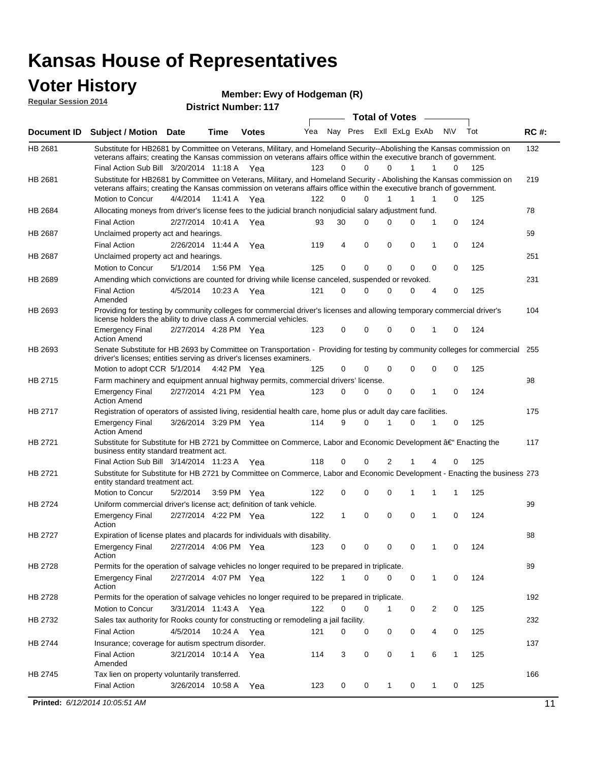### **Voter History**

**Regular Session 2014**

| <b>District Number: 117</b> |  |
|-----------------------------|--|
|                             |  |

|                |                                                                                                                                                                                                                                                 |                                                                                                                                                                                                     |      |              |     | <b>Total of Votes</b><br>$\sim$ |             |                |              |              |             |     |             |  |  |
|----------------|-------------------------------------------------------------------------------------------------------------------------------------------------------------------------------------------------------------------------------------------------|-----------------------------------------------------------------------------------------------------------------------------------------------------------------------------------------------------|------|--------------|-----|---------------------------------|-------------|----------------|--------------|--------------|-------------|-----|-------------|--|--|
|                | Document ID Subject / Motion Date                                                                                                                                                                                                               |                                                                                                                                                                                                     | Time | <b>Votes</b> | Yea | Nay Pres                        |             | Exll ExLg ExAb |              |              | <b>NV</b>   | Tot | <b>RC#:</b> |  |  |
| HB 2681        | Substitute for HB2681 by Committee on Veterans, Military, and Homeland Security--Abolishing the Kansas commission on                                                                                                                            |                                                                                                                                                                                                     |      |              |     |                                 |             |                |              |              |             |     | 132         |  |  |
|                | veterans affairs; creating the Kansas commission on veterans affairs office within the executive branch of government.                                                                                                                          |                                                                                                                                                                                                     |      |              |     |                                 |             |                |              |              |             |     |             |  |  |
|                | Final Action Sub Bill 3/20/2014 11:18 A Yea                                                                                                                                                                                                     |                                                                                                                                                                                                     |      |              | 123 | 0                               | $\Omega$    | $\Omega$       | $\mathbf{1}$ | $\mathbf{1}$ | 0           | 125 |             |  |  |
| HB 2681        | Substitute for HB2681 by Committee on Veterans, Military, and Homeland Security - Abolishing the Kansas commission on<br>veterans affairs; creating the Kansas commission on veterans affairs office within the executive branch of government. |                                                                                                                                                                                                     |      |              |     |                                 |             |                |              |              |             |     | 219         |  |  |
|                | Motion to Concur                                                                                                                                                                                                                                | 4/4/2014 11:41 A                                                                                                                                                                                    |      | Yea          | 122 | 0                               | $\Omega$    |                | 1            | 1            | 0           | 125 |             |  |  |
| HB 2684        | Allocating moneys from driver's license fees to the judicial branch nonjudicial salary adjustment fund.                                                                                                                                         |                                                                                                                                                                                                     |      |              |     |                                 |             |                |              |              |             |     | 78          |  |  |
|                | <b>Final Action</b>                                                                                                                                                                                                                             | 2/27/2014 10:41 A Yea                                                                                                                                                                               |      |              | 93  | 30                              | $\Omega$    | 0              | $\Omega$     | 1            | $\mathbf 0$ | 124 |             |  |  |
| HB 2687        | Unclaimed property act and hearings.                                                                                                                                                                                                            |                                                                                                                                                                                                     |      |              |     |                                 |             |                |              |              |             |     | 59          |  |  |
|                | <b>Final Action</b>                                                                                                                                                                                                                             | 2/26/2014 11:44 A                                                                                                                                                                                   |      | Yea          | 119 | 4                               | 0           | 0              | 0            | 1            | $\mathbf 0$ | 124 |             |  |  |
| <b>HB 2687</b> | Unclaimed property act and hearings.                                                                                                                                                                                                            |                                                                                                                                                                                                     |      |              |     |                                 |             |                |              |              |             |     | 251         |  |  |
|                | Motion to Concur                                                                                                                                                                                                                                | 5/1/2014                                                                                                                                                                                            |      | 1:56 PM Yea  | 125 | 0                               | $\mathbf 0$ | 0              | $\mathbf{0}$ | 0            | 0           | 125 |             |  |  |
| <b>HB 2689</b> | Amending which convictions are counted for driving while license canceled, suspended or revoked.                                                                                                                                                |                                                                                                                                                                                                     |      |              |     |                                 |             |                |              |              |             |     | 231         |  |  |
|                | <b>Final Action</b><br>Amended                                                                                                                                                                                                                  | 4/5/2014                                                                                                                                                                                            |      | 10:23 A Yea  | 121 | 0                               | 0           | 0              | $\Omega$     | 4            | 0           | 125 |             |  |  |
| HB 2693        |                                                                                                                                                                                                                                                 | Providing for testing by community colleges for commercial driver's licenses and allowing temporary commercial driver's<br>104<br>license holders the ability to drive class A commercial vehicles. |      |              |     |                                 |             |                |              |              |             |     |             |  |  |
|                | <b>Emergency Final</b><br><b>Action Amend</b>                                                                                                                                                                                                   | 2/27/2014 4:28 PM Yea                                                                                                                                                                               |      |              | 123 | 0                               | 0           | 0              | 0            | 1            | 0           | 124 |             |  |  |
| HB 2693        | Senate Substitute for HB 2693 by Committee on Transportation - Providing for testing by community colleges for commercial 255<br>driver's licenses; entities serving as driver's licenses examiners.                                            |                                                                                                                                                                                                     |      |              |     |                                 |             |                |              |              |             |     |             |  |  |
|                | Motion to adopt CCR 5/1/2014 4:42 PM Yea                                                                                                                                                                                                        |                                                                                                                                                                                                     |      |              | 125 | 0                               | 0           | 0              | 0            | 0            | 0           | 125 |             |  |  |
| <b>HB 2715</b> | Farm machinery and equipment annual highway permits, commercial drivers' license.                                                                                                                                                               |                                                                                                                                                                                                     |      |              |     |                                 |             |                |              |              |             |     | 98          |  |  |
|                | <b>Emergency Final</b><br><b>Action Amend</b>                                                                                                                                                                                                   | 2/27/2014 4:21 PM Yea                                                                                                                                                                               |      |              | 123 | 0                               | $\Omega$    | 0              | 0            | 1            | 0           | 124 |             |  |  |
| HB 2717        | Registration of operators of assisted living, residential health care, home plus or adult day care facilities.                                                                                                                                  |                                                                                                                                                                                                     |      |              |     |                                 |             |                |              |              |             |     | 175         |  |  |
|                | <b>Emergency Final</b><br><b>Action Amend</b>                                                                                                                                                                                                   | 3/26/2014 3:29 PM Yea                                                                                                                                                                               |      |              | 114 | 9                               | $\Omega$    | 1              | 0            | 1            | 0           | 125 |             |  |  |
| HB 2721        | Substitute for Substitute for HB 2721 by Committee on Commerce, Labor and Economic Development †Enacting the                                                                                                                                    |                                                                                                                                                                                                     |      |              |     |                                 |             |                |              |              |             |     | 117         |  |  |
|                | business entity standard treatment act.                                                                                                                                                                                                         |                                                                                                                                                                                                     |      |              |     |                                 |             |                |              |              |             |     |             |  |  |
|                | Final Action Sub Bill 3/14/2014 11:23 A Yea                                                                                                                                                                                                     |                                                                                                                                                                                                     |      |              | 118 | 0                               | 0           | 2              |              | 4            | 0           | 125 |             |  |  |
| HB 2721        | Substitute for Substitute for HB 2721 by Committee on Commerce, Labor and Economic Development - Enacting the business 273<br>entity standard treatment act.                                                                                    |                                                                                                                                                                                                     |      |              |     |                                 |             |                |              |              |             |     |             |  |  |
|                | Motion to Concur                                                                                                                                                                                                                                | 5/2/2014                                                                                                                                                                                            |      | 3:59 PM Yea  | 122 | 0                               | 0           | 0              | 1            | 1            | 1           | 125 |             |  |  |
| <b>HB 2724</b> | Uniform commercial driver's license act; definition of tank vehicle.                                                                                                                                                                            |                                                                                                                                                                                                     |      |              |     |                                 |             |                |              |              |             |     | 99          |  |  |
|                | <b>Emergency Final</b><br>Action                                                                                                                                                                                                                | 2/27/2014 4:22 PM Yea                                                                                                                                                                               |      |              | 122 | 1                               | 0           | 0              | 0            | 1            | 0           | 124 |             |  |  |
| HB 2727        | Expiration of license plates and placards for individuals with disability.                                                                                                                                                                      |                                                                                                                                                                                                     |      |              |     |                                 |             |                |              |              |             |     | 88          |  |  |
|                | Emergency Final<br>Action                                                                                                                                                                                                                       | 2/27/2014 4:06 PM Yea                                                                                                                                                                               |      |              | 123 | 0                               | 0           | 0              | 0            | $\mathbf{1}$ | 0           | 124 |             |  |  |
| HB 2728        | Permits for the operation of salvage vehicles no longer required to be prepared in triplicate.                                                                                                                                                  |                                                                                                                                                                                                     |      |              |     |                                 |             |                |              |              |             |     | 89          |  |  |
|                | <b>Emergency Final</b><br>Action                                                                                                                                                                                                                | 2/27/2014 4:07 PM Yea                                                                                                                                                                               |      |              | 122 | 1                               | 0           | 0              | 0            | 1            | 0           | 124 |             |  |  |
| HB 2728        | Permits for the operation of salvage vehicles no longer required to be prepared in triplicate.                                                                                                                                                  |                                                                                                                                                                                                     |      |              |     |                                 |             |                |              |              |             |     | 192         |  |  |
|                | Motion to Concur                                                                                                                                                                                                                                | 3/31/2014 11:43 A Yea                                                                                                                                                                               |      |              | 122 | 0                               | 0           | 1              | 0            | 2            | 0           | 125 |             |  |  |
| HB 2732        | Sales tax authority for Rooks county for constructing or remodeling a jail facility.                                                                                                                                                            |                                                                                                                                                                                                     |      |              |     |                                 |             |                |              |              |             |     | 232         |  |  |
|                | <b>Final Action</b>                                                                                                                                                                                                                             | 4/5/2014 10:24 A Yea                                                                                                                                                                                |      |              | 121 | 0                               | 0           | 0              | 0            | 4            | 0           | 125 |             |  |  |
| HB 2744        | Insurance; coverage for autism spectrum disorder.                                                                                                                                                                                               |                                                                                                                                                                                                     |      |              |     |                                 |             |                |              |              |             |     | 137         |  |  |
|                | <b>Final Action</b><br>Amended                                                                                                                                                                                                                  | 3/21/2014 10:14 A Yea                                                                                                                                                                               |      |              | 114 | 3                               | 0           | 0              | 1            | 6            | 1           | 125 |             |  |  |
| HB 2745        | Tax lien on property voluntarily transferred.                                                                                                                                                                                                   |                                                                                                                                                                                                     |      |              |     |                                 |             |                |              |              |             |     | 166         |  |  |
|                | <b>Final Action</b>                                                                                                                                                                                                                             | 3/26/2014 10:58 A                                                                                                                                                                                   |      | Yea          | 123 | 0                               | 0           | 1              | 0            | 1            | 0           | 125 |             |  |  |
|                | Printed: 6/12/2014 10:05:51 AM                                                                                                                                                                                                                  |                                                                                                                                                                                                     |      |              |     |                                 |             |                |              |              |             |     | 11          |  |  |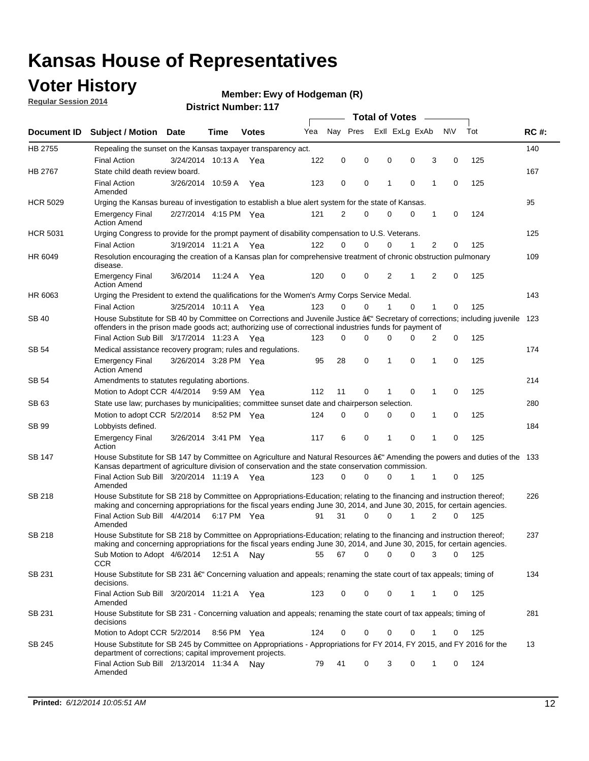## **Voter History**

**Regular Session 2014**

#### **Ewy of Hodgeman (R)**

|                    |                                                                                                                                                                                                                                                      |                       |             |              |     | <b>Total of Votes</b> |          |   |                |   |                   |     |             |  |
|--------------------|------------------------------------------------------------------------------------------------------------------------------------------------------------------------------------------------------------------------------------------------------|-----------------------|-------------|--------------|-----|-----------------------|----------|---|----------------|---|-------------------|-----|-------------|--|
| <b>Document ID</b> | <b>Subject / Motion</b>                                                                                                                                                                                                                              | <b>Date</b>           | Time        | <b>Votes</b> | Yea | Nay Pres              |          |   | Exll ExLg ExAb |   | <b>NV</b>         | Tot | <b>RC#:</b> |  |
| HB 2755            | Repealing the sunset on the Kansas taxpayer transparency act.                                                                                                                                                                                        |                       |             |              |     |                       |          |   |                |   |                   |     | 140         |  |
|                    | <b>Final Action</b>                                                                                                                                                                                                                                  | 3/24/2014 10:13 A     |             | Yea          | 122 | 0                     | 0        | 0 | 0              |   | 3<br>0            | 125 |             |  |
| HB 2767            | State child death review board.                                                                                                                                                                                                                      |                       |             |              |     |                       |          |   |                |   |                   |     | 167         |  |
|                    | <b>Final Action</b><br>Amended                                                                                                                                                                                                                       | 3/26/2014 10:59 A     |             | Yea          | 123 | 0                     | 0        | 1 | 0              | 1 | 0                 | 125 |             |  |
| <b>HCR 5029</b>    | Urging the Kansas bureau of investigation to establish a blue alert system for the state of Kansas.                                                                                                                                                  |                       |             |              |     |                       |          |   |                |   |                   |     | 95          |  |
|                    | <b>Emergency Final</b><br><b>Action Amend</b>                                                                                                                                                                                                        | 2/27/2014 4:15 PM Yea |             |              | 121 | 2                     | 0        | 0 | 0              |   | 1<br>0            | 124 |             |  |
| <b>HCR 5031</b>    | Urging Congress to provide for the prompt payment of disability compensation to U.S. Veterans.                                                                                                                                                       |                       |             |              |     |                       |          |   |                |   |                   |     | 125         |  |
|                    | <b>Final Action</b>                                                                                                                                                                                                                                  | 3/19/2014 11:21 A Yea |             |              | 122 | $\Omega$              | 0        | 0 | 1              |   | 2<br>0            | 125 |             |  |
| HR 6049            | Resolution encouraging the creation of a Kansas plan for comprehensive treatment of chronic obstruction pulmonary<br>disease.                                                                                                                        |                       |             |              |     |                       |          |   |                |   |                   |     | 109         |  |
|                    | <b>Emergency Final</b><br><b>Action Amend</b>                                                                                                                                                                                                        | 3/6/2014              | 11:24 A     | Yea          | 120 | 0                     | 0        | 2 | 1              |   | 2<br>$\mathbf 0$  | 125 |             |  |
| HR 6063            | Urging the President to extend the qualifications for the Women's Army Corps Service Medal.                                                                                                                                                          |                       |             |              |     |                       |          |   |                |   |                   |     | 143         |  |
|                    | <b>Final Action</b>                                                                                                                                                                                                                                  | 3/25/2014 10:11 A Yea |             |              | 123 | $\Omega$              | $\Omega$ | 1 | $\Omega$       |   | $\mathbf{1}$<br>0 | 125 |             |  |
| SB 40              | House Substitute for SB 40 by Committee on Corrections and Juvenile Justice †Secretary of corrections; including juvenile<br>123<br>offenders in the prison made goods act; authorizing use of correctional industries funds for payment of          |                       |             |              |     |                       |          |   |                |   |                   |     |             |  |
|                    | Final Action Sub Bill 3/17/2014 11:23 A Yea                                                                                                                                                                                                          |                       |             |              | 123 | 0                     | 0        | 0 | 0              |   | 0<br>2            | 125 |             |  |
| SB 54              | Medical assistance recovery program; rules and regulations.                                                                                                                                                                                          |                       |             |              |     |                       |          |   |                |   |                   |     | 174         |  |
|                    | <b>Emergency Final</b><br><b>Action Amend</b>                                                                                                                                                                                                        | 3/26/2014 3:28 PM Yea |             |              | 95  | 28                    | 0        | 1 | 0              | 1 | 0                 | 125 |             |  |
| SB 54              | Amendments to statutes regulating abortions.                                                                                                                                                                                                         |                       |             |              |     |                       |          |   |                |   |                   |     | 214         |  |
|                    | Motion to Adopt CCR 4/4/2014                                                                                                                                                                                                                         |                       | 9:59 AM Yea |              | 112 | 11                    | 0        |   | 0              |   | 1<br>0            | 125 |             |  |
| SB 63              | State use law; purchases by municipalities; committee sunset date and chairperson selection.                                                                                                                                                         |                       |             |              |     |                       |          |   |                |   |                   |     | 280         |  |
|                    | Motion to adopt CCR 5/2/2014                                                                                                                                                                                                                         |                       | 8:52 PM Yea |              | 124 | $\mathbf 0$           | 0        | 0 | 0              |   | 0<br>1            | 125 |             |  |
| SB 99              | Lobbyists defined.                                                                                                                                                                                                                                   |                       |             |              |     |                       |          |   |                |   |                   |     | 184         |  |
|                    | <b>Emergency Final</b><br>Action                                                                                                                                                                                                                     | 3/26/2014 3:41 PM Yea |             |              | 117 | 6                     | 0        | 1 | 0              | 1 | 0                 | 125 |             |  |
| SB 147             | House Substitute for SB 147 by Committee on Agriculture and Natural Resources †Amending the powers and duties of the 133<br>Kansas department of agriculture division of conservation and the state conservation commission.                         |                       |             |              |     |                       |          |   |                |   |                   |     |             |  |
|                    | Final Action Sub Bill 3/20/2014 11:19 A Yea<br>Amended                                                                                                                                                                                               |                       |             |              | 123 | $\Omega$              | 0        | 0 | 1              |   | 1<br>0            | 125 |             |  |
| SB 218             | House Substitute for SB 218 by Committee on Appropriations-Education; relating to the financing and instruction thereof;<br>making and concerning appropriations for the fiscal years ending June 30, 2014, and June 30, 2015, for certain agencies. |                       |             |              |     |                       |          |   |                |   |                   |     | 226         |  |
|                    | Final Action Sub Bill 4/4/2014 6:17 PM Yea                                                                                                                                                                                                           |                       |             |              | 91  | 31                    | 0        | 0 | 1              |   | 2<br>$\Omega$     | 125 |             |  |
|                    | Amended                                                                                                                                                                                                                                              |                       |             |              |     |                       |          |   |                |   |                   |     |             |  |
| SB 218             | House Substitute for SB 218 by Committee on Appropriations-Education; relating to the financing and instruction thereof;                                                                                                                             |                       |             |              |     |                       |          |   |                |   |                   |     | 237         |  |
|                    | making and concerning appropriations for the fiscal years ending June 30, 2014, and June 30, 2015, for certain agencies.                                                                                                                             |                       |             |              |     |                       |          |   |                |   |                   |     |             |  |
|                    | Sub Motion to Adopt 4/6/2014 12:51 A Nay                                                                                                                                                                                                             |                       |             |              | 55  | 67                    | 0        | 0 | 0              |   | 3<br>0            | 125 |             |  |
| SB 231             | <b>CCR</b><br>House Substitute for SB 231 †Concerning valuation and appeals; renaming the state court of tax appeals; timing of<br>decisions.                                                                                                        |                       |             |              |     |                       |          |   |                |   |                   |     | 134         |  |
|                    | Final Action Sub Bill 3/20/2014 11:21 A Yea                                                                                                                                                                                                          |                       |             |              | 123 | 0                     | 0        | 0 | 1              |   | 1<br>0            | 125 |             |  |
|                    | Amended                                                                                                                                                                                                                                              |                       |             |              |     |                       |          |   |                |   |                   |     |             |  |
| SB 231             | House Substitute for SB 231 - Concerning valuation and appeals; renaming the state court of tax appeals; timing of<br>decisions                                                                                                                      |                       |             |              |     |                       |          |   |                |   |                   |     | 281         |  |
|                    | Motion to Adopt CCR 5/2/2014                                                                                                                                                                                                                         |                       | 8:56 PM Yea |              | 124 | 0                     | 0        | 0 | 0              |   | 1<br>0            | 125 |             |  |
| SB 245             | House Substitute for SB 245 by Committee on Appropriations - Appropriations for FY 2014, FY 2015, and FY 2016 for the<br>department of corrections; capital improvement projects.                                                                    |                       |             |              |     |                       |          |   |                |   |                   |     | 13          |  |
|                    | Final Action Sub Bill 2/13/2014 11:34 A<br>Amended                                                                                                                                                                                                   |                       |             | . Nav        | 79  | 41                    | 0        | 3 | 0              | 1 | 0                 | 124 |             |  |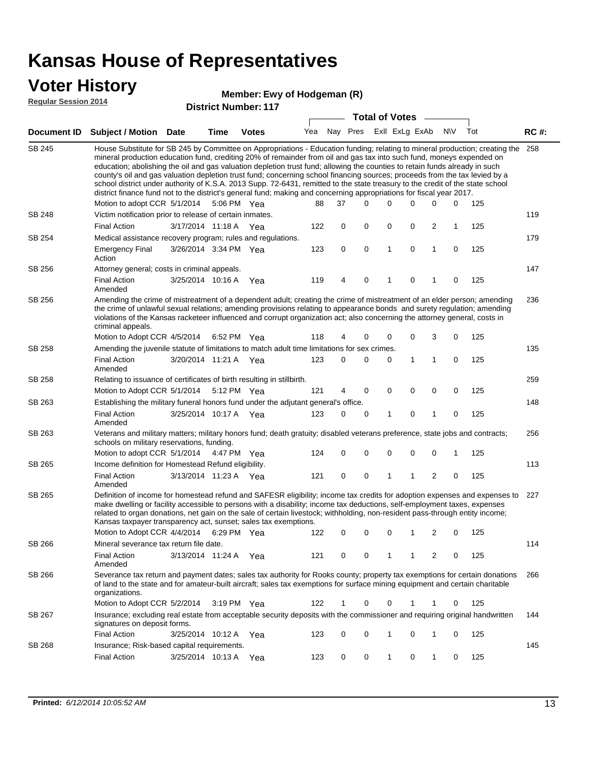### **Voter History**

#### **Ewy of Hodgeman (R)**

**Regular Session 2014**

|               |                                                                                                                                                                                                                                                                                                                                                                                                                                                                                                                                                                                                                                                                                                                                                                                                               |                       |      | <b>DISTRICT NUMBER: 117</b> |     |          |   | <b>Total of Votes</b> |              |                |              |           |     |             |
|---------------|---------------------------------------------------------------------------------------------------------------------------------------------------------------------------------------------------------------------------------------------------------------------------------------------------------------------------------------------------------------------------------------------------------------------------------------------------------------------------------------------------------------------------------------------------------------------------------------------------------------------------------------------------------------------------------------------------------------------------------------------------------------------------------------------------------------|-----------------------|------|-----------------------------|-----|----------|---|-----------------------|--------------|----------------|--------------|-----------|-----|-------------|
|               |                                                                                                                                                                                                                                                                                                                                                                                                                                                                                                                                                                                                                                                                                                                                                                                                               |                       |      |                             |     |          |   |                       |              |                |              |           |     |             |
|               | Document ID Subject / Motion                                                                                                                                                                                                                                                                                                                                                                                                                                                                                                                                                                                                                                                                                                                                                                                  | Date                  | Time | <b>Votes</b>                | Yea | Nay Pres |   |                       |              | Exll ExLg ExAb |              | <b>NV</b> | Tot | <b>RC#:</b> |
| SB 245        | House Substitute for SB 245 by Committee on Appropriations - Education funding; relating to mineral production; creating the<br>mineral production education fund, crediting 20% of remainder from oil and gas tax into such fund, moneys expended on<br>education; abolishing the oil and gas valuation depletion trust fund; allowing the counties to retain funds already in such<br>county's oil and gas valuation depletion trust fund; concerning school financing sources; proceeds from the tax levied by a<br>school district under authority of K.S.A. 2013 Supp. 72-6431, remitted to the state treasury to the credit of the state school<br>district finance fund not to the district's general fund; making and concerning appropriations for fiscal year 2017.<br>Motion to adopt CCR 5/1/2014 |                       |      | 5:06 PM Yea                 | 88  | 37       |   | $\Omega$              | 0            | 0              | $\Omega$     | 0         | 125 | 258         |
| <b>SB 248</b> | Victim notification prior to release of certain inmates.                                                                                                                                                                                                                                                                                                                                                                                                                                                                                                                                                                                                                                                                                                                                                      |                       |      |                             |     |          |   |                       |              |                |              |           |     | 119         |
|               | <b>Final Action</b>                                                                                                                                                                                                                                                                                                                                                                                                                                                                                                                                                                                                                                                                                                                                                                                           | 3/17/2014 11:18 A Yea |      |                             | 122 |          | 0 | 0                     | 0            | 0              | 2            | 1         | 125 |             |
| SB 254        | Medical assistance recovery program; rules and regulations.                                                                                                                                                                                                                                                                                                                                                                                                                                                                                                                                                                                                                                                                                                                                                   |                       |      |                             |     |          |   |                       |              |                |              |           |     | 179         |
|               | <b>Emergency Final</b><br>Action                                                                                                                                                                                                                                                                                                                                                                                                                                                                                                                                                                                                                                                                                                                                                                              | 3/26/2014 3:34 PM Yea |      |                             | 123 |          | 0 | 0                     | $\mathbf{1}$ | $\mathbf 0$    | $\mathbf{1}$ | 0         | 125 |             |
| SB 256        | Attorney general; costs in criminal appeals.                                                                                                                                                                                                                                                                                                                                                                                                                                                                                                                                                                                                                                                                                                                                                                  |                       |      |                             |     |          |   |                       |              |                |              |           |     | 147         |
|               | <b>Final Action</b><br>Amended                                                                                                                                                                                                                                                                                                                                                                                                                                                                                                                                                                                                                                                                                                                                                                                | 3/25/2014 10:16 A     |      | Yea                         | 119 |          | 4 | 0                     | 1            | 0              | 1            | 0         | 125 |             |
| SB 256        | Amending the crime of mistreatment of a dependent adult; creating the crime of mistreatment of an elder person; amending<br>the crime of unlawful sexual relations; amending provisions relating to appearance bonds and surety regulation; amending<br>violations of the Kansas racketeer influenced and corrupt organization act; also concerning the attorney general, costs in<br>criminal appeals.                                                                                                                                                                                                                                                                                                                                                                                                       |                       |      |                             |     |          |   |                       |              |                |              |           | 236 |             |
|               | Motion to Adopt CCR 4/5/2014                                                                                                                                                                                                                                                                                                                                                                                                                                                                                                                                                                                                                                                                                                                                                                                  |                       |      | 6:52 PM Yea                 | 118 |          | 4 | 0                     | 0            | 0              | 3            | 0         | 125 |             |
| SB 258        | Amending the juvenile statute of limitations to match adult time limitations for sex crimes.                                                                                                                                                                                                                                                                                                                                                                                                                                                                                                                                                                                                                                                                                                                  |                       |      |                             |     |          |   |                       |              |                |              |           |     | 135         |
|               | <b>Final Action</b><br>Amended                                                                                                                                                                                                                                                                                                                                                                                                                                                                                                                                                                                                                                                                                                                                                                                | 3/20/2014 11:21 A Yea |      |                             | 123 |          | 0 | 0                     | 0            | $\mathbf{1}$   | 1            | 0         | 125 |             |
| SB 258        | Relating to issuance of certificates of birth resulting in stillbirth.                                                                                                                                                                                                                                                                                                                                                                                                                                                                                                                                                                                                                                                                                                                                        |                       |      |                             |     |          |   |                       |              |                |              |           |     | 259         |
|               | Motion to Adopt CCR 5/1/2014                                                                                                                                                                                                                                                                                                                                                                                                                                                                                                                                                                                                                                                                                                                                                                                  |                       |      | 5:12 PM Yea                 | 121 |          | 4 | 0                     | 0            | 0              | 0            | 0         | 125 |             |
| SB 263        | Establishing the military funeral honors fund under the adjutant general's office.                                                                                                                                                                                                                                                                                                                                                                                                                                                                                                                                                                                                                                                                                                                            |                       |      |                             |     |          |   |                       |              |                |              |           |     | 148         |
|               | <b>Final Action</b><br>Amended                                                                                                                                                                                                                                                                                                                                                                                                                                                                                                                                                                                                                                                                                                                                                                                | 3/25/2014 10:17 A Yea |      |                             | 123 |          | 0 | 0                     | 1            | 0              | 1            | 0         | 125 |             |
| SB 263        | Veterans and military matters; military honors fund; death gratuity; disabled veterans preference, state jobs and contracts;<br>schools on military reservations, funding.                                                                                                                                                                                                                                                                                                                                                                                                                                                                                                                                                                                                                                    |                       |      |                             |     |          |   |                       |              |                |              |           |     | 256         |
|               | Motion to adopt CCR 5/1/2014 4:47 PM Yea                                                                                                                                                                                                                                                                                                                                                                                                                                                                                                                                                                                                                                                                                                                                                                      |                       |      |                             | 124 |          | 0 | 0                     | 0            | 0              | 0            | 1         | 125 |             |
| SB 265        | Income definition for Homestead Refund eligibility.                                                                                                                                                                                                                                                                                                                                                                                                                                                                                                                                                                                                                                                                                                                                                           |                       |      |                             |     |          |   |                       |              |                |              |           |     | 113         |
|               | <b>Final Action</b><br>Amended                                                                                                                                                                                                                                                                                                                                                                                                                                                                                                                                                                                                                                                                                                                                                                                | 3/13/2014 11:23 A Yea |      |                             | 121 |          | 0 | 0                     | 1            | 1              | 2            | 0         | 125 |             |
| SB 265        | Definition of income for homestead refund and SAFESR eligibility; income tax credits for adoption expenses and expenses to<br>make dwelling or facility accessible to persons with a disability; income tax deductions, self-employment taxes, expenses<br>related to organ donations, net gain on the sale of certain livestock; withholding, non-resident pass-through entity income;<br>Kansas taxpayer transparency act, sunset; sales tax exemptions.<br>Motion to Adopt CCR 4/4/2014                                                                                                                                                                                                                                                                                                                    |                       |      | 6:29 PM Yea                 | 122 |          | 0 | 0                     | 0            | 1              | 2            | 0         | 125 | 227         |
| SB 266        | Mineral severance tax return file date.                                                                                                                                                                                                                                                                                                                                                                                                                                                                                                                                                                                                                                                                                                                                                                       |                       |      |                             |     |          |   |                       |              |                |              |           |     | 114         |
|               | <b>Final Action</b><br>Amended                                                                                                                                                                                                                                                                                                                                                                                                                                                                                                                                                                                                                                                                                                                                                                                | 3/13/2014 11:24 A Yea |      |                             | 121 |          | 0 | 0                     | 1            | 1              | 2            | 0         | 125 |             |
| SB 266        | Severance tax return and payment dates; sales tax authority for Rooks county; property tax exemptions for certain donations<br>of land to the state and for amateur-built aircraft; sales tax exemptions for surface mining equipment and certain charitable<br>organizations.                                                                                                                                                                                                                                                                                                                                                                                                                                                                                                                                |                       |      |                             |     |          |   |                       |              |                |              |           |     | 266         |
|               | Motion to Adopt CCR 5/2/2014                                                                                                                                                                                                                                                                                                                                                                                                                                                                                                                                                                                                                                                                                                                                                                                  |                       |      | $3:19$ PM Yea               | 122 |          |   | 0                     | 0            |                |              | 0         | 125 |             |
| SB 267        | Insurance; excluding real estate from acceptable security deposits with the commissioner and requiring original handwritten<br>signatures on deposit forms.                                                                                                                                                                                                                                                                                                                                                                                                                                                                                                                                                                                                                                                   |                       |      |                             |     |          |   |                       |              |                |              |           |     | 144         |
|               | <b>Final Action</b>                                                                                                                                                                                                                                                                                                                                                                                                                                                                                                                                                                                                                                                                                                                                                                                           | 3/25/2014 10:12 A     |      | Yea                         | 123 |          | 0 | 0                     | 1            | 0              | 1            | 0         | 125 |             |
| SB 268        | Insurance; Risk-based capital requirements.                                                                                                                                                                                                                                                                                                                                                                                                                                                                                                                                                                                                                                                                                                                                                                   |                       |      |                             |     |          |   |                       |              |                |              |           |     | 145         |
|               | <b>Final Action</b>                                                                                                                                                                                                                                                                                                                                                                                                                                                                                                                                                                                                                                                                                                                                                                                           | 3/25/2014 10:13 A     |      | Yea                         | 123 |          | 0 | 0                     | 1            | 0              | 1            | 0         | 125 |             |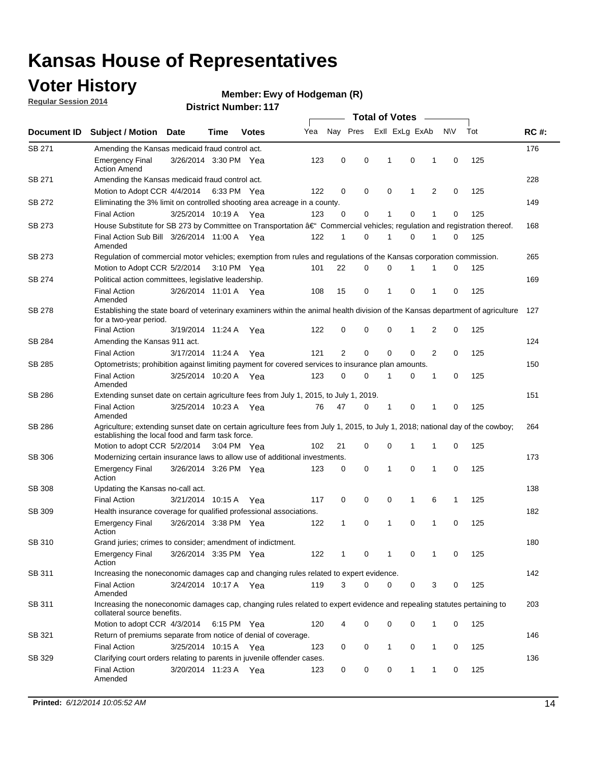### **Voter History**

**Regular Session 2014**

#### **Ewy of Hodgeman (R)**

|               |                                                                                                                                                                                    |                       |      |              |     | <b>Total of Votes</b> |          |                |              |                |           |     |             |
|---------------|------------------------------------------------------------------------------------------------------------------------------------------------------------------------------------|-----------------------|------|--------------|-----|-----------------------|----------|----------------|--------------|----------------|-----------|-----|-------------|
| Document ID   | <b>Subject / Motion</b>                                                                                                                                                            | <b>Date</b>           | Time | <b>Votes</b> | Yea | Nay Pres              |          | Exll ExLg ExAb |              |                | <b>NV</b> | Tot | <b>RC#:</b> |
| SB 271        | Amending the Kansas medicaid fraud control act.                                                                                                                                    |                       |      |              |     |                       |          |                |              |                |           |     | 176         |
|               | <b>Emergency Final</b><br><b>Action Amend</b>                                                                                                                                      | 3/26/2014 3:30 PM Yea |      |              | 123 | 0                     | 0        | 1              | 0            | 1              | 0         | 125 |             |
| SB 271        | Amending the Kansas medicaid fraud control act.                                                                                                                                    |                       |      |              |     |                       |          |                |              |                |           |     | 228         |
|               | Motion to Adopt CCR 4/4/2014 6:33 PM Yea                                                                                                                                           |                       |      |              | 122 | 0                     | 0        | 0              | 1            | $\overline{2}$ | 0         | 125 |             |
| SB 272        | Eliminating the 3% limit on controlled shooting area acreage in a county.                                                                                                          |                       |      |              |     |                       |          |                |              |                |           |     | 149         |
|               | <b>Final Action</b>                                                                                                                                                                | 3/25/2014 10:19 A     |      | Yea          | 123 | 0                     | 0        | 1              | 0            | 1              | 0         | 125 |             |
| <b>SB 273</b> | House Substitute for SB 273 by Committee on Transportation â€ <sup>4</sup> Commercial vehicles; regulation and registration thereof.                                               |                       |      |              |     |                       |          |                |              |                |           |     | 168         |
|               | Final Action Sub Bill 3/26/2014 11:00 A Yea<br>Amended                                                                                                                             |                       |      |              | 122 | 1                     | 0        | 1              | 0            | 1              | 0         | 125 |             |
| SB 273        | Regulation of commercial motor vehicles; exemption from rules and regulations of the Kansas corporation commission.                                                                |                       |      |              |     |                       |          |                |              |                |           |     | 265         |
|               | Motion to Adopt CCR 5/2/2014 3:10 PM Yea                                                                                                                                           |                       |      |              | 101 | 22                    | 0        | 0              | 1            |                | 0         | 125 |             |
| SB 274        | Political action committees, legislative leadership.                                                                                                                               |                       |      |              |     |                       |          |                |              |                |           |     | 169         |
|               | <b>Final Action</b><br>Amended                                                                                                                                                     | 3/26/2014 11:01 A Yea |      |              | 108 | 15                    | 0        | 1              | 0            | 1              | 0         | 125 |             |
| SB 278        | Establishing the state board of veterinary examiners within the animal health division of the Kansas department of agriculture<br>for a two-year period.                           |                       |      |              |     |                       |          |                |              |                |           |     | 127         |
|               | <b>Final Action</b>                                                                                                                                                                | 3/19/2014 11:24 A     |      | Yea          | 122 | 0                     | 0        | 0              | 1            | 2              | 0         | 125 |             |
| SB 284        | Amending the Kansas 911 act.                                                                                                                                                       |                       |      |              |     |                       |          |                |              |                |           |     | 124         |
|               | <b>Final Action</b>                                                                                                                                                                | 3/17/2014 11:24 A     |      | Yea          | 121 | 2                     | 0        | 0              | 0            | $\overline{2}$ | 0         | 125 |             |
| SB 285        | Optometrists; prohibition against limiting payment for covered services to insurance plan amounts.                                                                                 |                       |      |              |     |                       |          |                |              |                |           |     | 150         |
|               | <b>Final Action</b><br>Amended                                                                                                                                                     | 3/25/2014 10:20 A     |      | Yea          | 123 | 0                     | 0        | 1              | 0            | 1              | 0         | 125 |             |
| SB 286        | Extending sunset date on certain agriculture fees from July 1, 2015, to July 1, 2019.                                                                                              |                       |      |              |     |                       |          |                |              |                |           |     | 151         |
|               | <b>Final Action</b><br>Amended                                                                                                                                                     | 3/25/2014 10:23 A Yea |      |              | 76  | 47                    | 0        | 1              | 0            | 1              | 0         | 125 |             |
| SB 286        | Agriculture; extending sunset date on certain agriculture fees from July 1, 2015, to July 1, 2018; national day of the cowboy;<br>establishing the local food and farm task force. |                       |      |              |     |                       |          |                |              |                |           |     | 264         |
|               | Motion to adopt CCR 5/2/2014 3:04 PM Yea                                                                                                                                           |                       |      |              | 102 | 21                    | 0        | 0              | 1            | 1              | 0         | 125 |             |
| SB 306        | Modernizing certain insurance laws to allow use of additional investments.                                                                                                         |                       |      |              |     |                       |          |                |              |                |           |     | 173         |
|               | <b>Emergency Final</b>                                                                                                                                                             | 3/26/2014 3:26 PM Yea |      |              | 123 | 0                     | 0        | 1              | 0            | 1              | 0         | 125 |             |
|               | Action                                                                                                                                                                             |                       |      |              |     |                       |          |                |              |                |           |     |             |
| <b>SB 308</b> | Updating the Kansas no-call act.                                                                                                                                                   |                       |      |              |     |                       |          |                |              |                |           |     | 138         |
|               | <b>Final Action</b>                                                                                                                                                                | 3/21/2014 10:15 A     |      | Yea          | 117 | 0                     | 0        | 0              | $\mathbf{1}$ | 6              | 1         | 125 |             |
| SB 309        | Health insurance coverage for qualified professional associations.                                                                                                                 |                       |      |              |     |                       |          |                |              |                |           |     | 182         |
|               | <b>Emergency Final</b><br>Action                                                                                                                                                   | 3/26/2014 3:38 PM Yea |      |              | 122 | 1                     | 0        | 1              | 0            | 1              | 0         | 125 |             |
| SB 310        | Grand juries; crimes to consider; amendment of indictment.                                                                                                                         |                       |      |              |     |                       |          |                |              |                |           |     | 180         |
|               | <b>Emergency Final</b><br>Action                                                                                                                                                   | 3/26/2014 3:35 PM Yea |      |              | 122 |                       | 0        |                | 0            |                | 0         | 125 |             |
| SB 311        | Increasing the noneconomic damages cap and changing rules related to expert evidence.                                                                                              |                       |      |              |     |                       |          |                |              |                |           |     | 142         |
|               | <b>Final Action</b><br>Amended                                                                                                                                                     | 3/24/2014 10:17 A Yea |      |              | 119 | 3                     | $\Omega$ | 0              | 0            | 3              | 0         | 125 |             |
| SB 311        | Increasing the noneconomic damages cap, changing rules related to expert evidence and repealing statutes pertaining to<br>collateral source benefits.                              |                       |      |              |     |                       |          |                |              |                |           |     | 203         |
|               | Motion to adopt CCR 4/3/2014 6:15 PM Yea                                                                                                                                           |                       |      |              | 120 | 4                     | 0        | 0              | 0            | 1              | 0         | 125 |             |
| SB 321        | Return of premiums separate from notice of denial of coverage.                                                                                                                     |                       |      |              |     |                       |          |                |              |                |           |     | 146         |
|               | <b>Final Action</b>                                                                                                                                                                | 3/25/2014 10:15 A Yea |      |              | 123 | 0                     | 0        | 1              | 0            | 1              | 0         | 125 |             |
| SB 329        | Clarifying court orders relating to parents in juvenile offender cases.                                                                                                            |                       |      |              |     |                       |          |                |              |                |           |     | 136         |
|               | <b>Final Action</b><br>Amended                                                                                                                                                     | 3/20/2014 11:23 A Yea |      |              | 123 | 0                     | 0        | 0              | 1            | 1              | 0         | 125 |             |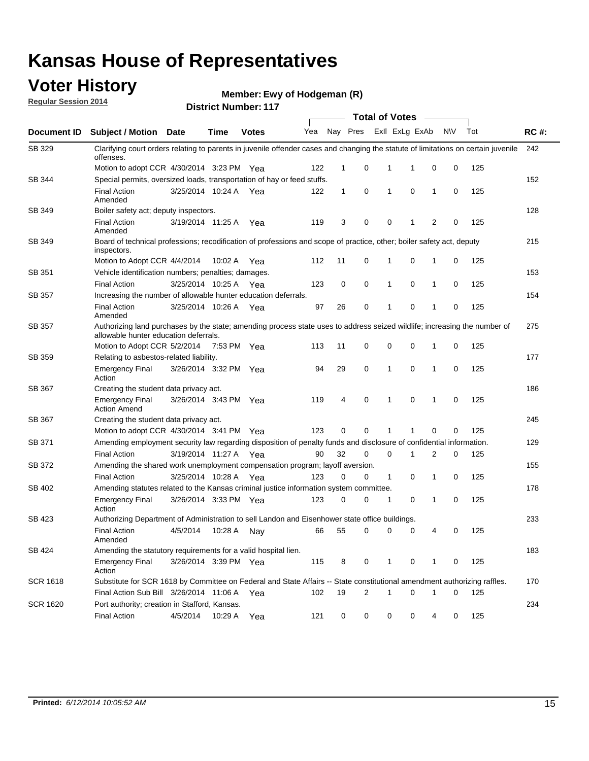### **Voter History**

**Regular Session 2014**

#### **Ewy of Hodgeman (R)**

|                    |                                                                                                                                                                    |                       |             |              | <b>Total of Votes</b> |              |          |              |                |              |           |     |             |  |  |
|--------------------|--------------------------------------------------------------------------------------------------------------------------------------------------------------------|-----------------------|-------------|--------------|-----------------------|--------------|----------|--------------|----------------|--------------|-----------|-----|-------------|--|--|
| <b>Document ID</b> | <b>Subject / Motion Date</b>                                                                                                                                       |                       | Time        | <b>Votes</b> | Yea                   |              | Nay Pres |              | Exll ExLg ExAb |              | <b>NV</b> | Tot | <b>RC#:</b> |  |  |
| SB 329             | Clarifying court orders relating to parents in juvenile offender cases and changing the statute of limitations on certain juvenile<br>offenses.                    |                       |             |              |                       |              |          |              |                |              |           |     | 242         |  |  |
|                    | Motion to adopt CCR 4/30/2014 3:23 PM Yea                                                                                                                          |                       |             |              | 122                   | $\mathbf 1$  | 0        | 1            | -1             | 0            | 0         | 125 |             |  |  |
| SB 344             | Special permits, oversized loads, transportation of hay or feed stuffs.                                                                                            |                       |             |              |                       |              |          |              |                |              |           |     | 152         |  |  |
|                    | <b>Final Action</b><br>Amended                                                                                                                                     | 3/25/2014 10:24 A     |             | Yea          | 122                   | $\mathbf{1}$ | 0        | 1            | 0              | $\mathbf{1}$ | 0         | 125 |             |  |  |
| <b>SB 349</b>      | Boiler safety act; deputy inspectors.                                                                                                                              |                       |             |              |                       |              |          |              |                |              |           |     | 128         |  |  |
|                    | <b>Final Action</b><br>Amended                                                                                                                                     | 3/19/2014 11:25 A     |             | Yea          | 119                   | 3            | 0        | 0            | 1              | 2            | 0         | 125 |             |  |  |
| SB 349             | Board of technical professions; recodification of professions and scope of practice, other; boiler safety act, deputy<br>inspectors.                               |                       |             |              |                       |              |          |              |                |              |           |     | 215         |  |  |
|                    | Motion to Adopt CCR 4/4/2014                                                                                                                                       |                       | 10:02 A     | Yea          | 112                   | 11           | 0        | 1            | 0              | 1            | 0         | 125 |             |  |  |
| SB 351             | Vehicle identification numbers; penalties; damages.                                                                                                                |                       |             |              |                       |              |          |              |                |              |           |     | 153         |  |  |
|                    | <b>Final Action</b>                                                                                                                                                | 3/25/2014 10:25 A     |             | Yea          | 123                   | 0            | 0        | 1            | 0              | 1            | 0         | 125 |             |  |  |
| SB 357             | Increasing the number of allowable hunter education deferrals.                                                                                                     |                       |             |              |                       |              |          |              |                |              |           |     | 154         |  |  |
|                    | <b>Final Action</b><br>Amended                                                                                                                                     | 3/25/2014 10:26 A     |             | Yea          | 97                    | 26           | 0        | $\mathbf{1}$ | 0              | 1            | 0         | 125 |             |  |  |
| SB 357             | Authorizing land purchases by the state; amending process state uses to address seized wildlife; increasing the number of<br>allowable hunter education deferrals. |                       |             |              |                       |              |          |              |                |              |           |     | 275         |  |  |
|                    | Motion to Adopt CCR 5/2/2014                                                                                                                                       |                       | 7:53 PM Yea |              | 113                   | 11           | 0        | 0            | $\mathbf 0$    | 1            | 0         | 125 |             |  |  |
| SB 359             | Relating to asbestos-related liability.                                                                                                                            |                       |             |              |                       |              |          |              |                |              |           |     | 177         |  |  |
|                    | <b>Emergency Final</b><br>Action                                                                                                                                   | 3/26/2014 3:32 PM Yea |             |              | 94                    | 29           | 0        | 1            | $\Omega$       | 1            | 0         | 125 |             |  |  |
| <b>SB 367</b>      | Creating the student data privacy act.                                                                                                                             |                       |             |              |                       |              |          |              |                |              |           |     | 186         |  |  |
|                    | <b>Emergency Final</b><br><b>Action Amend</b>                                                                                                                      | 3/26/2014 3:43 PM Yea |             |              | 119                   | 4            | 0        | 1            | 0              | 1            | 0         | 125 |             |  |  |
| SB 367             | Creating the student data privacy act.                                                                                                                             |                       |             |              |                       |              |          |              |                |              |           |     | 245         |  |  |
|                    | Motion to adopt CCR 4/30/2014 3:41 PM Yea                                                                                                                          |                       |             |              | 123                   | 0            | 0        | 1            | 1              | 0            | 0         | 125 |             |  |  |
| SB 371             | Amending employment security law regarding disposition of penalty funds and disclosure of confidential information.                                                |                       |             |              |                       |              |          |              |                |              |           |     | 129         |  |  |
|                    | <b>Final Action</b>                                                                                                                                                | 3/19/2014 11:27 A     |             | Yea          | 90                    | 32           | 0        | $\mathbf 0$  | 1              | 2            | 0         | 125 |             |  |  |
| SB 372             | Amending the shared work unemployment compensation program; layoff aversion.                                                                                       |                       |             |              |                       |              |          |              |                |              |           |     | 155         |  |  |
|                    | <b>Final Action</b>                                                                                                                                                | 3/25/2014 10:28 A     |             | Yea          | 123                   | 0            | 0        | 1            | 0              | 1            | 0         | 125 |             |  |  |
| SB 402             | Amending statutes related to the Kansas criminal justice information system committee.                                                                             |                       |             |              |                       |              |          |              |                |              |           |     | 178         |  |  |
|                    | <b>Emergency Final</b><br>Action                                                                                                                                   | 3/26/2014 3:33 PM Yea |             |              | 123                   | 0            | 0        | 1            | 0              | $\mathbf{1}$ | 0         | 125 |             |  |  |
| SB 423             | Authorizing Department of Administration to sell Landon and Eisenhower state office buildings.                                                                     |                       |             |              |                       |              |          |              |                |              |           |     | 233         |  |  |
|                    | <b>Final Action</b><br>Amended                                                                                                                                     | 4/5/2014              | 10:28 A     | Nay          | 66                    | 55           | 0        | 0            | 0              | 4            | 0         | 125 |             |  |  |
| SB 424             | Amending the statutory requirements for a valid hospital lien.                                                                                                     |                       |             |              |                       |              |          |              |                |              |           |     | 183         |  |  |
|                    | <b>Emergency Final</b><br>Action                                                                                                                                   | 3/26/2014 3:39 PM Yea |             |              | 115                   | 8            | 0        | 1            | 0              | 1            | 0         | 125 |             |  |  |
| <b>SCR 1618</b>    | Substitute for SCR 1618 by Committee on Federal and State Affairs -- State constitutional amendment authorizing raffles.                                           |                       |             |              |                       |              |          |              |                |              |           |     | 170         |  |  |
|                    | Final Action Sub Bill 3/26/2014 11:06 A Yea                                                                                                                        |                       |             |              | 102                   | 19           | 2        | 1            | 0              | 1            | 0         | 125 |             |  |  |
| <b>SCR 1620</b>    | Port authority; creation in Stafford, Kansas.                                                                                                                      |                       |             |              |                       |              |          |              |                |              |           |     | 234         |  |  |
|                    | <b>Final Action</b>                                                                                                                                                | 4/5/2014              | 10:29 A     | Yea          | 121                   | 0            | 0        | 0            | 0              | 4            | 0         | 125 |             |  |  |